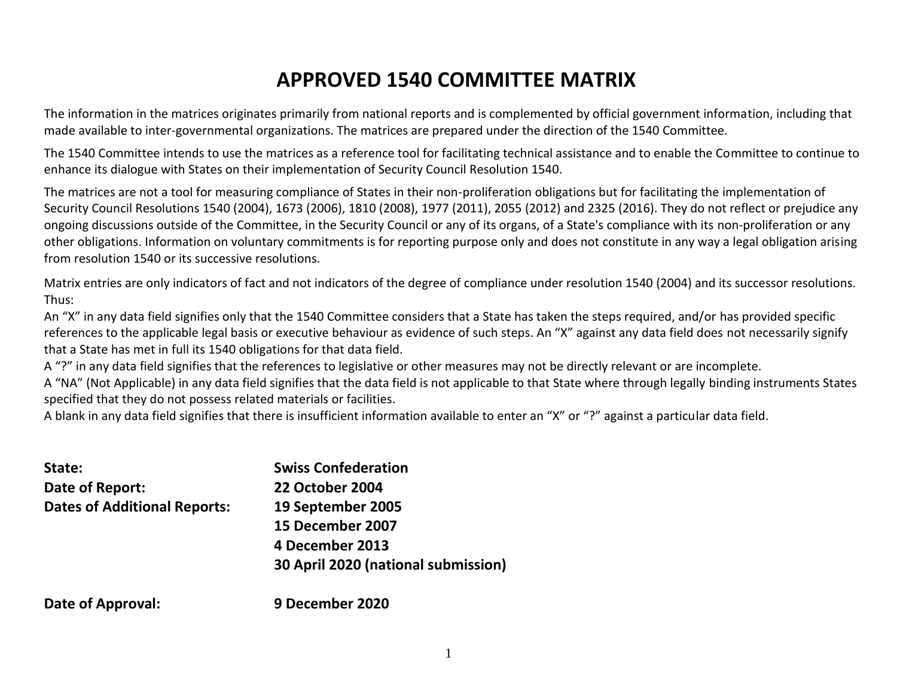# **APPROVED 1540 COMMITTEE MATRIX**

The information in the matrices originates primarily from national reports and is complemented by official government information, including that made available to inter-governmental organizations. The matrices are prepared under the direction of the 1540 Committee.

The 1540 Committee intends to use the matrices as a reference tool for facilitating technical assistance and to enable the Committee to continue to enhance its dialogue with States on their implementation of Security Council Resolution 1540.

The matrices are not a tool for measuring compliance of States in their non-proliferation obligations but for facilitating the implementation of Security Council Resolutions 1540 (2004), 1673 (2006), 1810 (2008), 1977 (2011), 2055 (2012) and 2325 (2016). They do not reflect or prejudice any ongoing discussions outside of the Committee, in the Security Council or any of its organs, of a State's compliance with its non-proliferation or any other obligations. Information on voluntary commitments is for reporting purpose only and does not constitute in any way a legal obligation arising from resolution 1540 or its successive resolutions.

Matrix entries are only indicators of fact and not indicators of the degree of compliance under resolution 1540 (2004) and its successor resolutions. Thus:

An "X" in any data field signifies only that the 1540 Committee considers that a State has taken the steps required, and/or has provided specific references to the applicable legal basis or executive behaviour as evidence of such steps. An "X" against any data field does not necessarily signify that a State has met in full its 1540 obligations for that data field.

A "?" in any data field signifies that the references to legislative or other measures may not be directly relevant or are incomplete.

A "NA" (Not Applicable) in any data field signifies that the data field is not applicable to that State where through legally binding instruments States specified that they do not possess related materials or facilities.

A blank in any data field signifies that there is insufficient information available to enter an "X" or "?" against a particular data field.

| State:                              | <b>Swiss Confederation</b>          |
|-------------------------------------|-------------------------------------|
| Date of Report:                     | <b>22 October 2004</b>              |
| <b>Dates of Additional Reports:</b> | 19 September 2005                   |
|                                     | 15 December 2007                    |
|                                     | 4 December 2013                     |
|                                     | 30 April 2020 (national submission) |
|                                     |                                     |

**Date of Approval: 9 December 2020**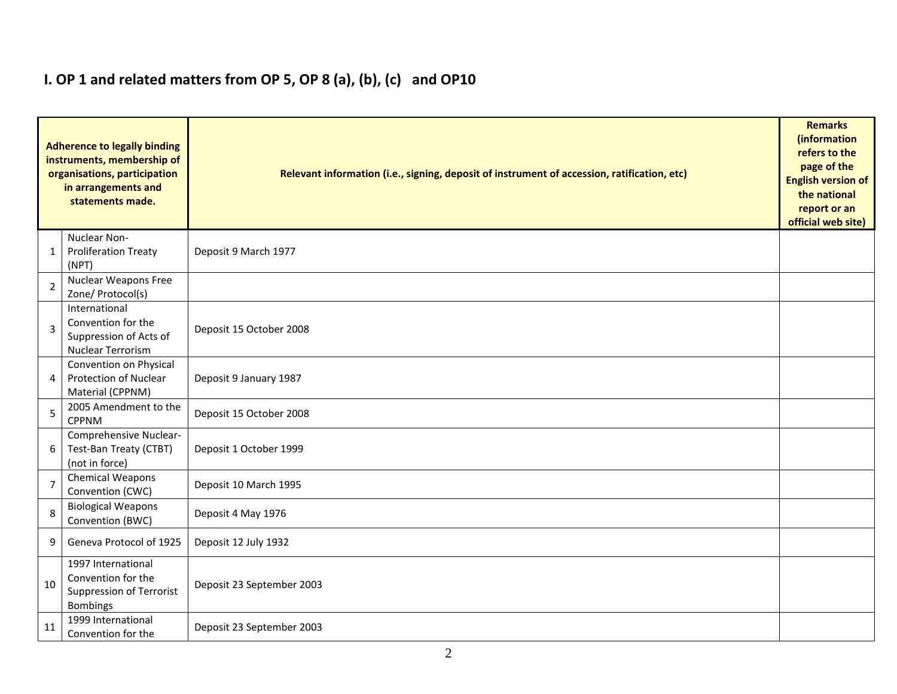# **I. OP 1 and related matters from OP 5, OP 8 (a), (b), (c) and OP10**

|                | <b>Adherence to legally binding</b><br>instruments, membership of<br>organisations, participation<br>in arrangements and<br>statements made. | Relevant information (i.e., signing, deposit of instrument of accession, ratification, etc) |  |  |  |  |  |  |  |
|----------------|----------------------------------------------------------------------------------------------------------------------------------------------|---------------------------------------------------------------------------------------------|--|--|--|--|--|--|--|
| 1              | Nuclear Non-<br><b>Proliferation Treaty</b><br>(NPT)                                                                                         | Deposit 9 March 1977                                                                        |  |  |  |  |  |  |  |
| $\overline{2}$ | <b>Nuclear Weapons Free</b><br>Zone/ Protocol(s)                                                                                             |                                                                                             |  |  |  |  |  |  |  |
| 3              | International<br>Convention for the<br>Suppression of Acts of<br><b>Nuclear Terrorism</b>                                                    | Deposit 15 October 2008                                                                     |  |  |  |  |  |  |  |
| 4              | Convention on Physical<br><b>Protection of Nuclear</b><br>Material (CPPNM)                                                                   | Deposit 9 January 1987                                                                      |  |  |  |  |  |  |  |
| 5              | 2005 Amendment to the<br><b>CPPNM</b>                                                                                                        | Deposit 15 October 2008                                                                     |  |  |  |  |  |  |  |
| 6              | Comprehensive Nuclear-<br>Test-Ban Treaty (CTBT)<br>(not in force)                                                                           | Deposit 1 October 1999                                                                      |  |  |  |  |  |  |  |
| $\overline{7}$ | <b>Chemical Weapons</b><br>Convention (CWC)                                                                                                  | Deposit 10 March 1995                                                                       |  |  |  |  |  |  |  |
| 8              | <b>Biological Weapons</b><br>Convention (BWC)                                                                                                | Deposit 4 May 1976                                                                          |  |  |  |  |  |  |  |
| 9              | Geneva Protocol of 1925                                                                                                                      | Deposit 12 July 1932                                                                        |  |  |  |  |  |  |  |
| 10             | 1997 International<br>Convention for the<br><b>Suppression of Terrorist</b><br><b>Bombings</b>                                               | Deposit 23 September 2003                                                                   |  |  |  |  |  |  |  |
| 11             | 1999 International<br>Convention for the                                                                                                     | Deposit 23 September 2003                                                                   |  |  |  |  |  |  |  |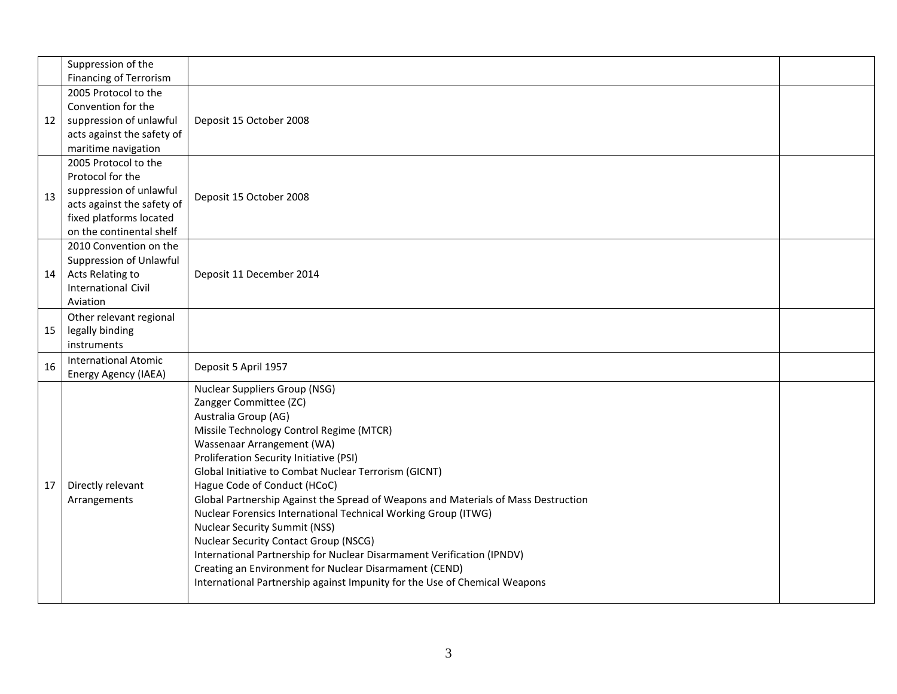|    | Suppression of the<br><b>Financing of Terrorism</b>                                                                                                      |                                                                                                                                                                                                                                                                                                                                                                                                                                                                                                                                                                                                                                                                                                                                                                        |  |
|----|----------------------------------------------------------------------------------------------------------------------------------------------------------|------------------------------------------------------------------------------------------------------------------------------------------------------------------------------------------------------------------------------------------------------------------------------------------------------------------------------------------------------------------------------------------------------------------------------------------------------------------------------------------------------------------------------------------------------------------------------------------------------------------------------------------------------------------------------------------------------------------------------------------------------------------------|--|
| 12 | 2005 Protocol to the<br>Convention for the<br>suppression of unlawful<br>acts against the safety of<br>maritime navigation                               | Deposit 15 October 2008                                                                                                                                                                                                                                                                                                                                                                                                                                                                                                                                                                                                                                                                                                                                                |  |
| 13 | 2005 Protocol to the<br>Protocol for the<br>suppression of unlawful<br>acts against the safety of<br>fixed platforms located<br>on the continental shelf | Deposit 15 October 2008                                                                                                                                                                                                                                                                                                                                                                                                                                                                                                                                                                                                                                                                                                                                                |  |
| 14 | 2010 Convention on the<br>Suppression of Unlawful<br>Acts Relating to<br><b>International Civil</b><br>Aviation                                          | Deposit 11 December 2014                                                                                                                                                                                                                                                                                                                                                                                                                                                                                                                                                                                                                                                                                                                                               |  |
| 15 | Other relevant regional<br>legally binding<br>instruments                                                                                                |                                                                                                                                                                                                                                                                                                                                                                                                                                                                                                                                                                                                                                                                                                                                                                        |  |
| 16 | <b>International Atomic</b><br>Energy Agency (IAEA)                                                                                                      | Deposit 5 April 1957                                                                                                                                                                                                                                                                                                                                                                                                                                                                                                                                                                                                                                                                                                                                                   |  |
| 17 | Directly relevant<br>Arrangements                                                                                                                        | <b>Nuclear Suppliers Group (NSG)</b><br>Zangger Committee (ZC)<br>Australia Group (AG)<br>Missile Technology Control Regime (MTCR)<br>Wassenaar Arrangement (WA)<br>Proliferation Security Initiative (PSI)<br>Global Initiative to Combat Nuclear Terrorism (GICNT)<br>Hague Code of Conduct (HCoC)<br>Global Partnership Against the Spread of Weapons and Materials of Mass Destruction<br>Nuclear Forensics International Technical Working Group (ITWG)<br><b>Nuclear Security Summit (NSS)</b><br><b>Nuclear Security Contact Group (NSCG)</b><br>International Partnership for Nuclear Disarmament Verification (IPNDV)<br>Creating an Environment for Nuclear Disarmament (CEND)<br>International Partnership against Impunity for the Use of Chemical Weapons |  |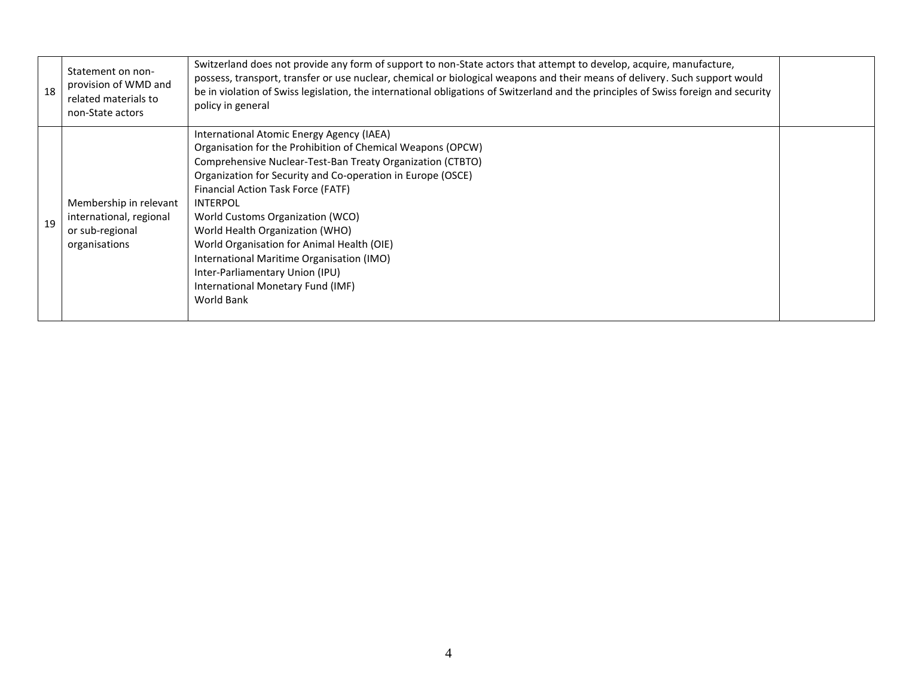| 18 | Statement on non-<br>provision of WMD and<br>related materials to<br>non-State actors | Switzerland does not provide any form of support to non-State actors that attempt to develop, acquire, manufacture,<br>possess, transport, transfer or use nuclear, chemical or biological weapons and their means of delivery. Such support would<br>be in violation of Swiss legislation, the international obligations of Switzerland and the principles of Swiss foreign and security<br>policy in general                                                                                                                                         |  |
|----|---------------------------------------------------------------------------------------|--------------------------------------------------------------------------------------------------------------------------------------------------------------------------------------------------------------------------------------------------------------------------------------------------------------------------------------------------------------------------------------------------------------------------------------------------------------------------------------------------------------------------------------------------------|--|
| 19 | Membership in relevant<br>international, regional<br>or sub-regional<br>organisations | International Atomic Energy Agency (IAEA)<br>Organisation for the Prohibition of Chemical Weapons (OPCW)<br>Comprehensive Nuclear-Test-Ban Treaty Organization (CTBTO)<br>Organization for Security and Co-operation in Europe (OSCE)<br>Financial Action Task Force (FATF)<br><b>INTERPOL</b><br>World Customs Organization (WCO)<br>World Health Organization (WHO)<br>World Organisation for Animal Health (OIE)<br>International Maritime Organisation (IMO)<br>Inter-Parliamentary Union (IPU)<br>International Monetary Fund (IMF)<br>World Bank |  |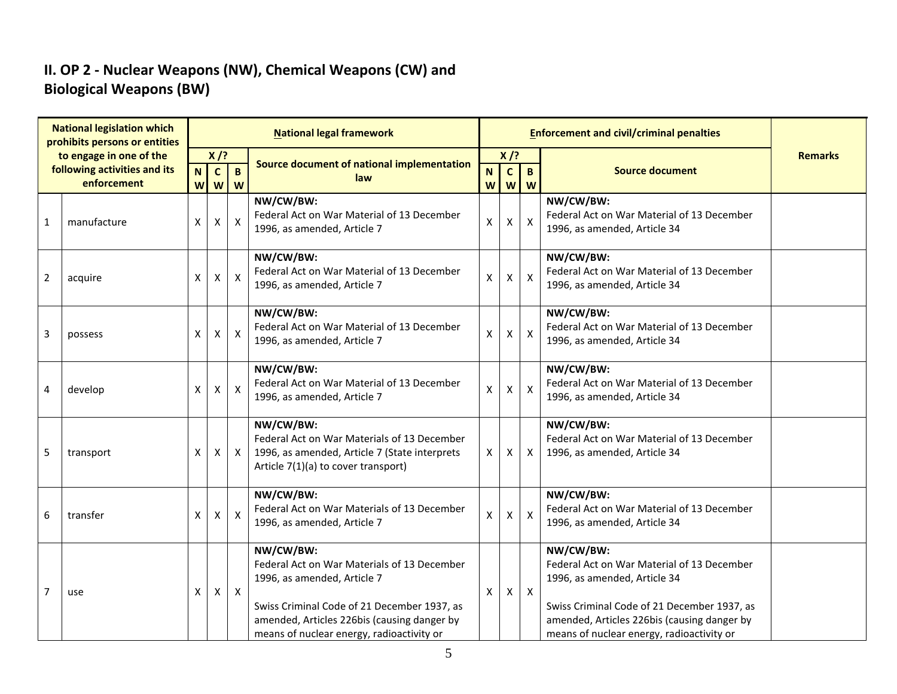## **II. OP 2 - Nuclear Weapons (NW), Chemical Weapons (CW) and Biological Weapons (BW)**

|                | <b>National legislation which</b><br>prohibits persons or entities |        |                    |                          | <b>National legal framework</b>                                                                                                                                                                                                    |                  |                   |                   | <b>Enforcement and civil/criminal penalties</b>                                                                                                                                                                                    |                |
|----------------|--------------------------------------------------------------------|--------|--------------------|--------------------------|------------------------------------------------------------------------------------------------------------------------------------------------------------------------------------------------------------------------------------|------------------|-------------------|-------------------|------------------------------------------------------------------------------------------------------------------------------------------------------------------------------------------------------------------------------------|----------------|
|                | to engage in one of the                                            |        | $X$ /?             |                          | Source document of national implementation                                                                                                                                                                                         |                  | $X$ /?            |                   |                                                                                                                                                                                                                                    | <b>Remarks</b> |
|                | following activities and its<br>enforcement                        | N<br>W | $\mathbf{c}$<br>W  | $\mathbf{B}$<br><b>W</b> | law                                                                                                                                                                                                                                | $\mathbf N$<br>W | $\mathbf{C}$<br>W | $\mathbf{B}$<br>W | <b>Source document</b>                                                                                                                                                                                                             |                |
| 1              | manufacture                                                        | X      | $\pmb{\mathsf{X}}$ | $\mathsf{X}$             | NW/CW/BW:<br>Federal Act on War Material of 13 December<br>1996, as amended, Article 7                                                                                                                                             | $\mathsf X$      | $\mathsf{X}$      | $\mathsf{X}$      | NW/CW/BW:<br>Federal Act on War Material of 13 December<br>1996, as amended, Article 34                                                                                                                                            |                |
| $\overline{2}$ | acquire                                                            | X      | X                  | $\mathsf{X}$             | NW/CW/BW:<br>Federal Act on War Material of 13 December<br>1996, as amended, Article 7                                                                                                                                             | $\mathsf X$      | $\mathsf{X}$      | $\mathsf{X}$      | NW/CW/BW:<br>Federal Act on War Material of 13 December<br>1996, as amended, Article 34                                                                                                                                            |                |
| 3              | possess                                                            | X      | X                  | $\mathsf{X}$             | NW/CW/BW:<br>Federal Act on War Material of 13 December<br>1996, as amended, Article 7                                                                                                                                             | $\pmb{\times}$   | X                 | $\mathsf{x}$      | NW/CW/BW:<br>Federal Act on War Material of 13 December<br>1996, as amended, Article 34                                                                                                                                            |                |
| 4              | develop                                                            | X      | X                  | $\mathsf{X}$             | NW/CW/BW:<br>Federal Act on War Material of 13 December<br>1996, as amended, Article 7                                                                                                                                             | $\mathsf X$      | $\mathsf{X}$      | $\mathsf{x}$      | NW/CW/BW:<br>Federal Act on War Material of 13 December<br>1996, as amended, Article 34                                                                                                                                            |                |
| 5              | transport                                                          | X      | X                  | $\mathsf{X}$             | NW/CW/BW:<br>Federal Act on War Materials of 13 December<br>1996, as amended, Article 7 (State interprets<br>Article 7(1)(a) to cover transport)                                                                                   | $\mathsf{X}$     | X                 | X                 | NW/CW/BW:<br>Federal Act on War Material of 13 December<br>1996, as amended, Article 34                                                                                                                                            |                |
| 6              | transfer                                                           | X      | X                  | $\mathsf{X}$             | NW/CW/BW:<br>Federal Act on War Materials of 13 December<br>1996, as amended, Article 7                                                                                                                                            | $\mathsf X$      | X.                | $\mathsf{x}$      | NW/CW/BW:<br>Federal Act on War Material of 13 December<br>1996, as amended, Article 34                                                                                                                                            |                |
| $\overline{7}$ | use                                                                | X      | $\mathsf{X}$       | $\mathsf{X}$             | NW/CW/BW:<br>Federal Act on War Materials of 13 December<br>1996, as amended, Article 7<br>Swiss Criminal Code of 21 December 1937, as<br>amended, Articles 226bis (causing danger by<br>means of nuclear energy, radioactivity or | X                | X                 | $\boldsymbol{X}$  | NW/CW/BW:<br>Federal Act on War Material of 13 December<br>1996, as amended, Article 34<br>Swiss Criminal Code of 21 December 1937, as<br>amended, Articles 226bis (causing danger by<br>means of nuclear energy, radioactivity or |                |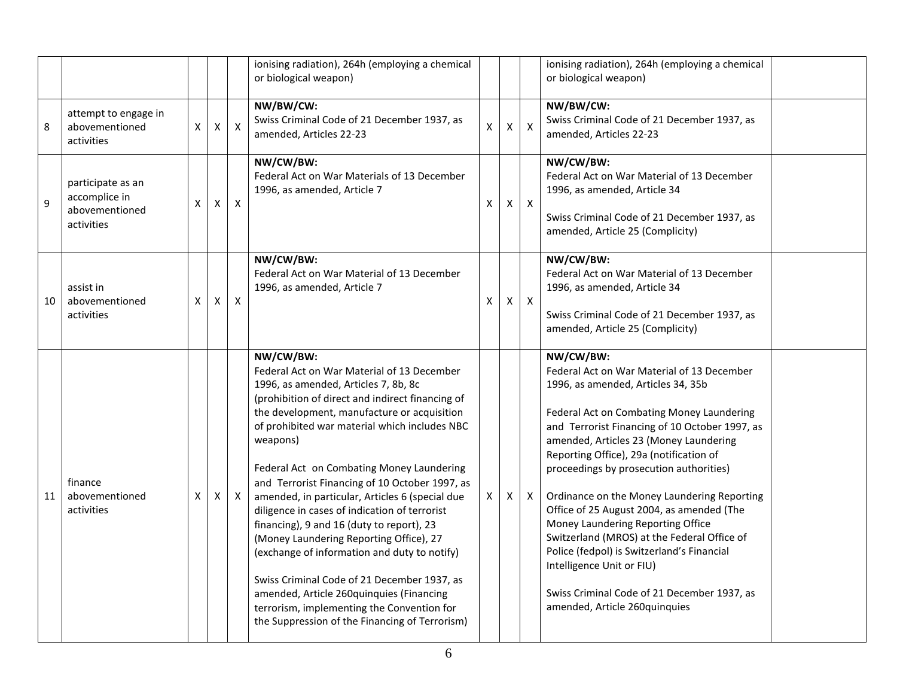|    |                                                                    |   |                |                           | ionising radiation), 264h (employing a chemical<br>or biological weapon)                                                                                                                                                                                                                                                                                                                                                                                                                                                                                                                                                                                                                                                                                                                              |              |    |                           | ionising radiation), 264h (employing a chemical<br>or biological weapon)                                                                                                                                                                                                                                                                                                                                                                                                                                                                                                                                                                                                |  |
|----|--------------------------------------------------------------------|---|----------------|---------------------------|-------------------------------------------------------------------------------------------------------------------------------------------------------------------------------------------------------------------------------------------------------------------------------------------------------------------------------------------------------------------------------------------------------------------------------------------------------------------------------------------------------------------------------------------------------------------------------------------------------------------------------------------------------------------------------------------------------------------------------------------------------------------------------------------------------|--------------|----|---------------------------|-------------------------------------------------------------------------------------------------------------------------------------------------------------------------------------------------------------------------------------------------------------------------------------------------------------------------------------------------------------------------------------------------------------------------------------------------------------------------------------------------------------------------------------------------------------------------------------------------------------------------------------------------------------------------|--|
| 8  | attempt to engage in<br>abovementioned<br>activities               | X | $\pmb{\times}$ | $\boldsymbol{\mathsf{X}}$ | NW/BW/CW:<br>Swiss Criminal Code of 21 December 1937, as<br>amended, Articles 22-23                                                                                                                                                                                                                                                                                                                                                                                                                                                                                                                                                                                                                                                                                                                   | $\mathsf{X}$ | X  | $\boldsymbol{\mathsf{X}}$ | NW/BW/CW:<br>Swiss Criminal Code of 21 December 1937, as<br>amended, Articles 22-23                                                                                                                                                                                                                                                                                                                                                                                                                                                                                                                                                                                     |  |
| 9  | participate as an<br>accomplice in<br>abovementioned<br>activities | X | X              | $\mathsf{X}$              | NW/CW/BW:<br>Federal Act on War Materials of 13 December<br>1996, as amended, Article 7                                                                                                                                                                                                                                                                                                                                                                                                                                                                                                                                                                                                                                                                                                               | X            | X  | $\boldsymbol{X}$          | NW/CW/BW:<br>Federal Act on War Material of 13 December<br>1996, as amended, Article 34<br>Swiss Criminal Code of 21 December 1937, as<br>amended, Article 25 (Complicity)                                                                                                                                                                                                                                                                                                                                                                                                                                                                                              |  |
| 10 | assist in<br>abovementioned<br>activities                          | X | X              | $\boldsymbol{\mathsf{X}}$ | NW/CW/BW:<br>Federal Act on War Material of 13 December<br>1996, as amended, Article 7                                                                                                                                                                                                                                                                                                                                                                                                                                                                                                                                                                                                                                                                                                                | X            | X. | $\mathsf{X}$              | NW/CW/BW:<br>Federal Act on War Material of 13 December<br>1996, as amended, Article 34<br>Swiss Criminal Code of 21 December 1937, as<br>amended, Article 25 (Complicity)                                                                                                                                                                                                                                                                                                                                                                                                                                                                                              |  |
| 11 | finance<br>abovementioned<br>activities                            | Χ | X              | $\mathsf{X}$              | NW/CW/BW:<br>Federal Act on War Material of 13 December<br>1996, as amended, Articles 7, 8b, 8c<br>(prohibition of direct and indirect financing of<br>the development, manufacture or acquisition<br>of prohibited war material which includes NBC<br>weapons)<br>Federal Act on Combating Money Laundering<br>and Terrorist Financing of 10 October 1997, as<br>amended, in particular, Articles 6 (special due<br>diligence in cases of indication of terrorist<br>financing), 9 and 16 (duty to report), 23<br>(Money Laundering Reporting Office), 27<br>(exchange of information and duty to notify)<br>Swiss Criminal Code of 21 December 1937, as<br>amended, Article 260quinquies (Financing<br>terrorism, implementing the Convention for<br>the Suppression of the Financing of Terrorism) | X            | X. | $\boldsymbol{\mathsf{X}}$ | NW/CW/BW:<br>Federal Act on War Material of 13 December<br>1996, as amended, Articles 34, 35b<br>Federal Act on Combating Money Laundering<br>and Terrorist Financing of 10 October 1997, as<br>amended, Articles 23 (Money Laundering<br>Reporting Office), 29a (notification of<br>proceedings by prosecution authorities)<br>Ordinance on the Money Laundering Reporting<br>Office of 25 August 2004, as amended (The<br>Money Laundering Reporting Office<br>Switzerland (MROS) at the Federal Office of<br>Police (fedpol) is Switzerland's Financial<br>Intelligence Unit or FIU)<br>Swiss Criminal Code of 21 December 1937, as<br>amended, Article 260quinquies |  |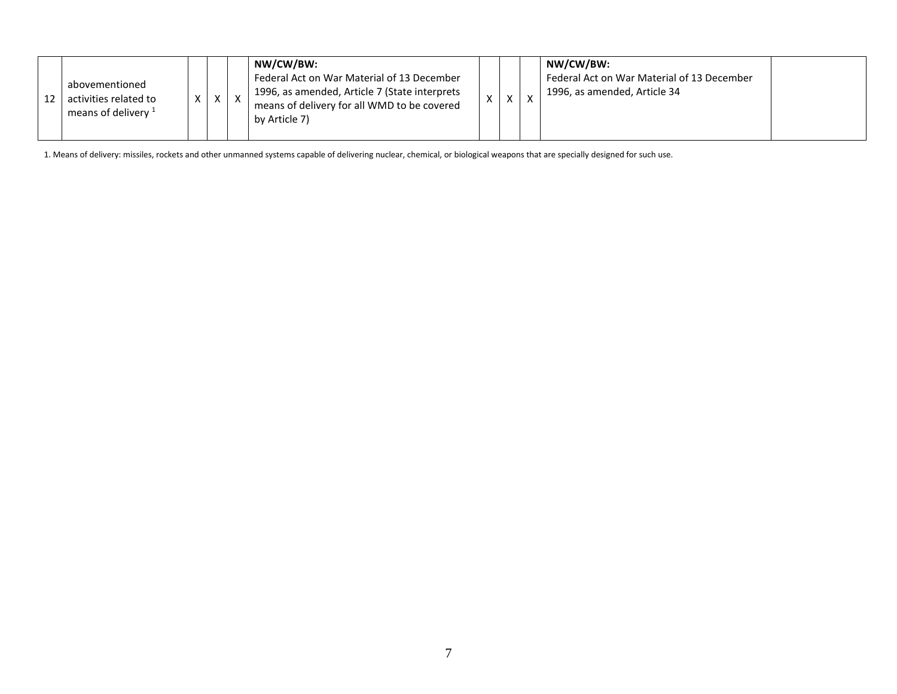|  | abovementioned<br>activities related to<br>means of delivery <sup>1</sup> |  |  | $\mathsf{x}$ | NW/CW/BW:<br>Federal Act on War Material of 13 December<br>1996, as amended, Article 7 (State interprets<br>means of delivery for all WMD to be covered<br>by Article 7) |  | $\mathbf{v}$ | $\mathbf v$ | NW/CW/BW:<br>Federal Act on War Material of 13 December<br>1996, as amended, Article 34 |  |
|--|---------------------------------------------------------------------------|--|--|--------------|--------------------------------------------------------------------------------------------------------------------------------------------------------------------------|--|--------------|-------------|-----------------------------------------------------------------------------------------|--|
|--|---------------------------------------------------------------------------|--|--|--------------|--------------------------------------------------------------------------------------------------------------------------------------------------------------------------|--|--------------|-------------|-----------------------------------------------------------------------------------------|--|

1. Means of delivery: missiles, rockets and other unmanned systems capable of delivering nuclear, chemical, or biological weapons that are specially designed for such use.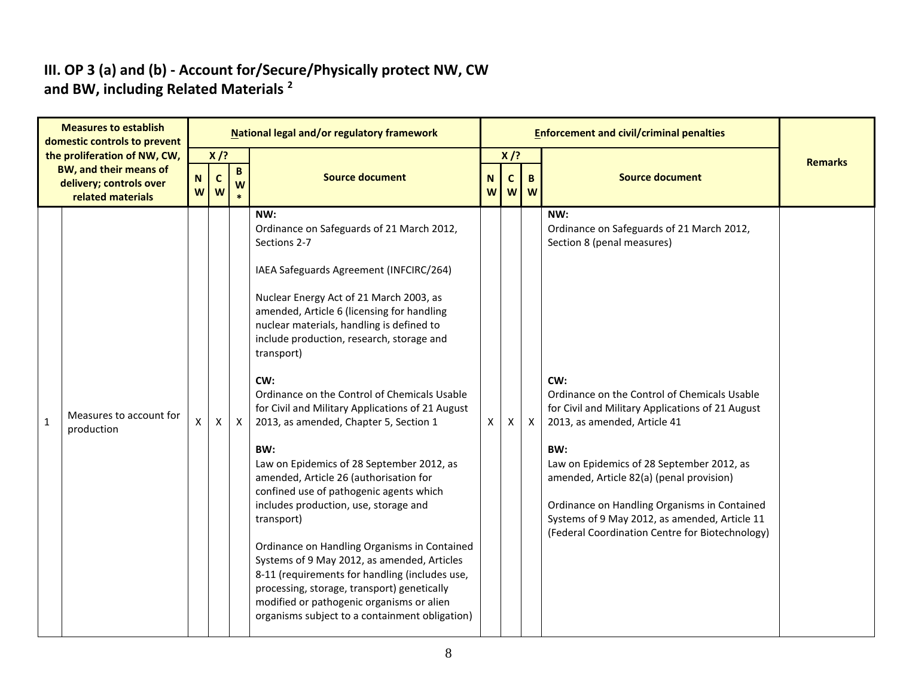#### **III. OP 3 (a) and (b) - Account for/Secure/Physically protect NW, CW and BW, including Related Materials <sup>2</sup>**

|              | <b>Measures to establish</b><br>domestic controls to prevent                                           |                         |                            |              | <b>National legal and/or regulatory framework</b>                                                                                                                                                                                                                                                                                                                                                                                                                                                                                                                                                                                                                                                                                                                                                                                                                                                                                                                |                            |                       |                            | <b>Enforcement and civil/criminal penalties</b>                                                                                                                                                                                                                                                                                                                                                                                                                               |                |
|--------------|--------------------------------------------------------------------------------------------------------|-------------------------|----------------------------|--------------|------------------------------------------------------------------------------------------------------------------------------------------------------------------------------------------------------------------------------------------------------------------------------------------------------------------------------------------------------------------------------------------------------------------------------------------------------------------------------------------------------------------------------------------------------------------------------------------------------------------------------------------------------------------------------------------------------------------------------------------------------------------------------------------------------------------------------------------------------------------------------------------------------------------------------------------------------------------|----------------------------|-----------------------|----------------------------|-------------------------------------------------------------------------------------------------------------------------------------------------------------------------------------------------------------------------------------------------------------------------------------------------------------------------------------------------------------------------------------------------------------------------------------------------------------------------------|----------------|
|              | the proliferation of NW, CW,<br>BW, and their means of<br>delivery; controls over<br>related materials | $\mathbf N$<br><b>W</b> | $X$ /?<br>$\mathbf c$<br>W | B<br>W       | <b>Source document</b>                                                                                                                                                                                                                                                                                                                                                                                                                                                                                                                                                                                                                                                                                                                                                                                                                                                                                                                                           | N <sub>1</sub><br><b>W</b> | $X$ /?<br>$\mathbf c$ | $\mathbf{B}$<br><b>w</b> w | <b>Source document</b>                                                                                                                                                                                                                                                                                                                                                                                                                                                        | <b>Remarks</b> |
| $\mathbf{1}$ | Measures to account for<br>production                                                                  | X                       | $\mathsf{X}$               | $\mathsf{X}$ | NW:<br>Ordinance on Safeguards of 21 March 2012,<br>Sections 2-7<br>IAEA Safeguards Agreement (INFCIRC/264)<br>Nuclear Energy Act of 21 March 2003, as<br>amended, Article 6 (licensing for handling<br>nuclear materials, handling is defined to<br>include production, research, storage and<br>transport)<br>CW:<br>Ordinance on the Control of Chemicals Usable<br>for Civil and Military Applications of 21 August<br>2013, as amended, Chapter 5, Section 1<br>BW:<br>Law on Epidemics of 28 September 2012, as<br>amended, Article 26 (authorisation for<br>confined use of pathogenic agents which<br>includes production, use, storage and<br>transport)<br>Ordinance on Handling Organisms in Contained<br>Systems of 9 May 2012, as amended, Articles<br>8-11 (requirements for handling (includes use,<br>processing, storage, transport) genetically<br>modified or pathogenic organisms or alien<br>organisms subject to a containment obligation) | X.                         | X.                    | $\mathsf{X}$               | NW:<br>Ordinance on Safeguards of 21 March 2012,<br>Section 8 (penal measures)<br>CW:<br>Ordinance on the Control of Chemicals Usable<br>for Civil and Military Applications of 21 August<br>2013, as amended, Article 41<br>BW:<br>Law on Epidemics of 28 September 2012, as<br>amended, Article 82(a) (penal provision)<br>Ordinance on Handling Organisms in Contained<br>Systems of 9 May 2012, as amended, Article 11<br>(Federal Coordination Centre for Biotechnology) |                |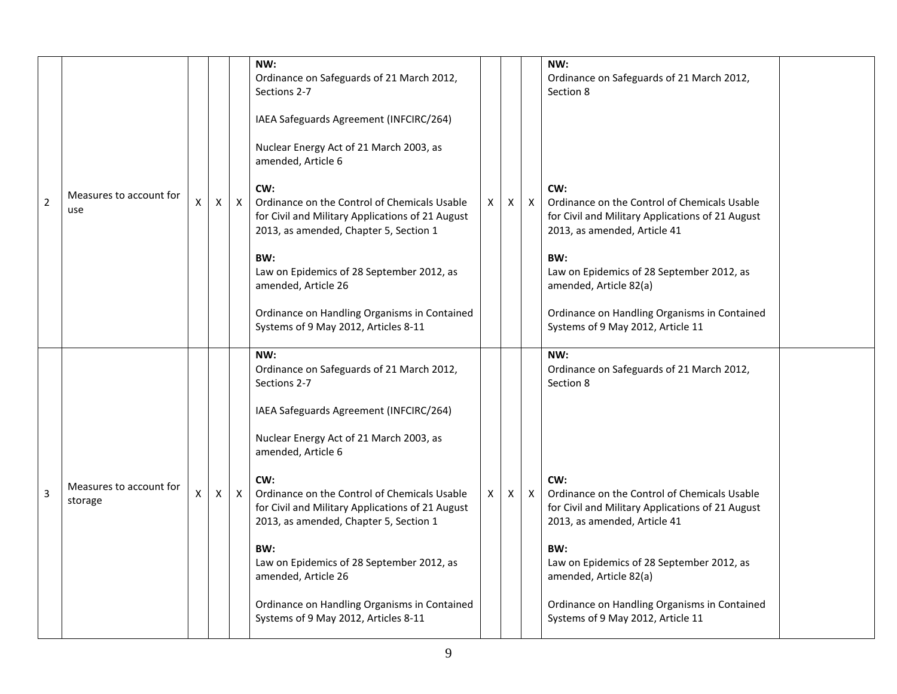|                |                                    |   |   |              | NW:<br>Ordinance on Safeguards of 21 March 2012,<br>Sections 2-7                                                                                  |   |                    |              | NW:<br>Ordinance on Safeguards of 21 March 2012,<br>Section 8                                                                           |  |
|----------------|------------------------------------|---|---|--------------|---------------------------------------------------------------------------------------------------------------------------------------------------|---|--------------------|--------------|-----------------------------------------------------------------------------------------------------------------------------------------|--|
|                |                                    |   |   |              | IAEA Safeguards Agreement (INFCIRC/264)                                                                                                           |   |                    |              |                                                                                                                                         |  |
|                |                                    |   |   |              | Nuclear Energy Act of 21 March 2003, as<br>amended, Article 6                                                                                     |   |                    |              |                                                                                                                                         |  |
| $\overline{2}$ | Measures to account for<br>use     | Χ | X | $\mathsf{X}$ | CW:<br>Ordinance on the Control of Chemicals Usable<br>for Civil and Military Applications of 21 August<br>2013, as amended, Chapter 5, Section 1 | X | $\mathsf{X}$       | $\mathsf{X}$ | CW:<br>Ordinance on the Control of Chemicals Usable<br>for Civil and Military Applications of 21 August<br>2013, as amended, Article 41 |  |
|                |                                    |   |   |              | BW:<br>Law on Epidemics of 28 September 2012, as<br>amended, Article 26                                                                           |   |                    |              | BW:<br>Law on Epidemics of 28 September 2012, as<br>amended, Article 82(a)                                                              |  |
|                |                                    |   |   |              | Ordinance on Handling Organisms in Contained<br>Systems of 9 May 2012, Articles 8-11                                                              |   |                    |              | Ordinance on Handling Organisms in Contained<br>Systems of 9 May 2012, Article 11                                                       |  |
|                |                                    |   |   |              | NW:<br>Ordinance on Safeguards of 21 March 2012,<br>Sections 2-7                                                                                  |   |                    |              | NW:<br>Ordinance on Safeguards of 21 March 2012,<br>Section 8                                                                           |  |
|                |                                    |   |   |              | IAEA Safeguards Agreement (INFCIRC/264)                                                                                                           |   |                    |              |                                                                                                                                         |  |
|                |                                    |   |   |              | Nuclear Energy Act of 21 March 2003, as<br>amended, Article 6                                                                                     |   |                    |              |                                                                                                                                         |  |
| 3              | Measures to account for<br>storage | X | X | $\mathsf{X}$ | CW:<br>Ordinance on the Control of Chemicals Usable<br>for Civil and Military Applications of 21 August<br>2013, as amended, Chapter 5, Section 1 | X | $\pmb{\mathsf{X}}$ | $\mathsf{X}$ | CW:<br>Ordinance on the Control of Chemicals Usable<br>for Civil and Military Applications of 21 August<br>2013, as amended, Article 41 |  |
|                |                                    |   |   |              | BW:<br>Law on Epidemics of 28 September 2012, as<br>amended, Article 26                                                                           |   |                    |              | BW:<br>Law on Epidemics of 28 September 2012, as<br>amended, Article 82(a)                                                              |  |
|                |                                    |   |   |              | Ordinance on Handling Organisms in Contained<br>Systems of 9 May 2012, Articles 8-11                                                              |   |                    |              | Ordinance on Handling Organisms in Contained<br>Systems of 9 May 2012, Article 11                                                       |  |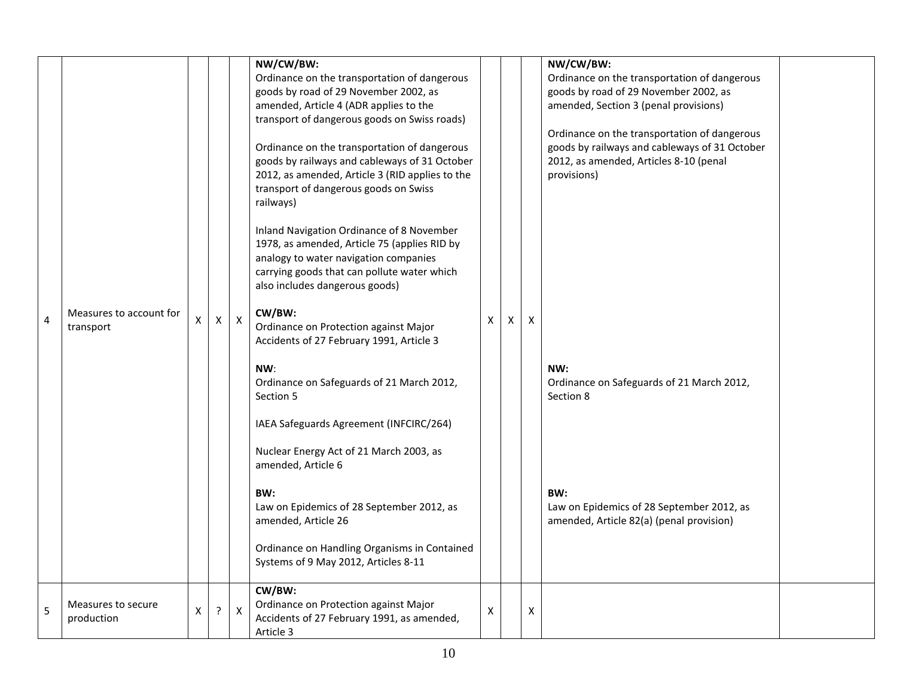| Ordinance on the transportation of dangerous<br>Ordinance on the transportation of dangerous<br>goods by road of 29 November 2002, as<br>goods by road of 29 November 2002, as<br>amended, Article 4 (ADR applies to the<br>amended, Section 3 (penal provisions)<br>transport of dangerous goods on Swiss roads)<br>Ordinance on the transportation of dangerous<br>Ordinance on the transportation of dangerous<br>goods by railways and cableways of 31 October<br>goods by railways and cableways of 31 October<br>2012, as amended, Articles 8-10 (penal<br>2012, as amended, Article 3 (RID applies to the<br>provisions)<br>transport of dangerous goods on Swiss<br>railways)<br>Inland Navigation Ordinance of 8 November<br>1978, as amended, Article 75 (applies RID by<br>analogy to water navigation companies<br>carrying goods that can pollute water which<br>also includes dangerous goods)<br>CW/BW:<br>Measures to account for<br>$\mathsf{X}$<br>$\mathsf{x}$<br>X<br>4<br>X<br>$\mathsf{x}$<br>Χ<br>transport<br>Ordinance on Protection against Major<br>Accidents of 27 February 1991, Article 3<br>NW:<br>NW:<br>Ordinance on Safeguards of 21 March 2012,<br>Ordinance on Safeguards of 21 March 2012,<br>Section 5<br>Section 8<br>IAEA Safeguards Agreement (INFCIRC/264)<br>Nuclear Energy Act of 21 March 2003, as<br>amended, Article 6<br>BW:<br>BW:<br>Law on Epidemics of 28 September 2012, as<br>Law on Epidemics of 28 September 2012, as<br>amended, Article 26<br>amended, Article 82(a) (penal provision)<br>Ordinance on Handling Organisms in Contained<br>Systems of 9 May 2012, Articles 8-11<br>CW/BW:<br>Ordinance on Protection against Major<br>Measures to secure<br>5<br>$\pmb{\times}$<br>?<br>$\boldsymbol{\mathsf{X}}$<br>$\pmb{\mathsf{X}}$<br>X<br>Accidents of 27 February 1991, as amended,<br>production |  |  | NW/CW/BW: |  | NW/CW/BW: |  |
|-------------------------------------------------------------------------------------------------------------------------------------------------------------------------------------------------------------------------------------------------------------------------------------------------------------------------------------------------------------------------------------------------------------------------------------------------------------------------------------------------------------------------------------------------------------------------------------------------------------------------------------------------------------------------------------------------------------------------------------------------------------------------------------------------------------------------------------------------------------------------------------------------------------------------------------------------------------------------------------------------------------------------------------------------------------------------------------------------------------------------------------------------------------------------------------------------------------------------------------------------------------------------------------------------------------------------------------------------------------------------------------------------------------------------------------------------------------------------------------------------------------------------------------------------------------------------------------------------------------------------------------------------------------------------------------------------------------------------------------------------------------------------------------------------------------------------------------------------------------------|--|--|-----------|--|-----------|--|
|                                                                                                                                                                                                                                                                                                                                                                                                                                                                                                                                                                                                                                                                                                                                                                                                                                                                                                                                                                                                                                                                                                                                                                                                                                                                                                                                                                                                                                                                                                                                                                                                                                                                                                                                                                                                                                                                   |  |  |           |  |           |  |
|                                                                                                                                                                                                                                                                                                                                                                                                                                                                                                                                                                                                                                                                                                                                                                                                                                                                                                                                                                                                                                                                                                                                                                                                                                                                                                                                                                                                                                                                                                                                                                                                                                                                                                                                                                                                                                                                   |  |  |           |  |           |  |
|                                                                                                                                                                                                                                                                                                                                                                                                                                                                                                                                                                                                                                                                                                                                                                                                                                                                                                                                                                                                                                                                                                                                                                                                                                                                                                                                                                                                                                                                                                                                                                                                                                                                                                                                                                                                                                                                   |  |  |           |  |           |  |
|                                                                                                                                                                                                                                                                                                                                                                                                                                                                                                                                                                                                                                                                                                                                                                                                                                                                                                                                                                                                                                                                                                                                                                                                                                                                                                                                                                                                                                                                                                                                                                                                                                                                                                                                                                                                                                                                   |  |  |           |  |           |  |
|                                                                                                                                                                                                                                                                                                                                                                                                                                                                                                                                                                                                                                                                                                                                                                                                                                                                                                                                                                                                                                                                                                                                                                                                                                                                                                                                                                                                                                                                                                                                                                                                                                                                                                                                                                                                                                                                   |  |  |           |  |           |  |
|                                                                                                                                                                                                                                                                                                                                                                                                                                                                                                                                                                                                                                                                                                                                                                                                                                                                                                                                                                                                                                                                                                                                                                                                                                                                                                                                                                                                                                                                                                                                                                                                                                                                                                                                                                                                                                                                   |  |  |           |  |           |  |
|                                                                                                                                                                                                                                                                                                                                                                                                                                                                                                                                                                                                                                                                                                                                                                                                                                                                                                                                                                                                                                                                                                                                                                                                                                                                                                                                                                                                                                                                                                                                                                                                                                                                                                                                                                                                                                                                   |  |  |           |  |           |  |
|                                                                                                                                                                                                                                                                                                                                                                                                                                                                                                                                                                                                                                                                                                                                                                                                                                                                                                                                                                                                                                                                                                                                                                                                                                                                                                                                                                                                                                                                                                                                                                                                                                                                                                                                                                                                                                                                   |  |  |           |  |           |  |
|                                                                                                                                                                                                                                                                                                                                                                                                                                                                                                                                                                                                                                                                                                                                                                                                                                                                                                                                                                                                                                                                                                                                                                                                                                                                                                                                                                                                                                                                                                                                                                                                                                                                                                                                                                                                                                                                   |  |  |           |  |           |  |
|                                                                                                                                                                                                                                                                                                                                                                                                                                                                                                                                                                                                                                                                                                                                                                                                                                                                                                                                                                                                                                                                                                                                                                                                                                                                                                                                                                                                                                                                                                                                                                                                                                                                                                                                                                                                                                                                   |  |  |           |  |           |  |
|                                                                                                                                                                                                                                                                                                                                                                                                                                                                                                                                                                                                                                                                                                                                                                                                                                                                                                                                                                                                                                                                                                                                                                                                                                                                                                                                                                                                                                                                                                                                                                                                                                                                                                                                                                                                                                                                   |  |  |           |  |           |  |
|                                                                                                                                                                                                                                                                                                                                                                                                                                                                                                                                                                                                                                                                                                                                                                                                                                                                                                                                                                                                                                                                                                                                                                                                                                                                                                                                                                                                                                                                                                                                                                                                                                                                                                                                                                                                                                                                   |  |  |           |  |           |  |
|                                                                                                                                                                                                                                                                                                                                                                                                                                                                                                                                                                                                                                                                                                                                                                                                                                                                                                                                                                                                                                                                                                                                                                                                                                                                                                                                                                                                                                                                                                                                                                                                                                                                                                                                                                                                                                                                   |  |  |           |  |           |  |
|                                                                                                                                                                                                                                                                                                                                                                                                                                                                                                                                                                                                                                                                                                                                                                                                                                                                                                                                                                                                                                                                                                                                                                                                                                                                                                                                                                                                                                                                                                                                                                                                                                                                                                                                                                                                                                                                   |  |  |           |  |           |  |
|                                                                                                                                                                                                                                                                                                                                                                                                                                                                                                                                                                                                                                                                                                                                                                                                                                                                                                                                                                                                                                                                                                                                                                                                                                                                                                                                                                                                                                                                                                                                                                                                                                                                                                                                                                                                                                                                   |  |  |           |  |           |  |
|                                                                                                                                                                                                                                                                                                                                                                                                                                                                                                                                                                                                                                                                                                                                                                                                                                                                                                                                                                                                                                                                                                                                                                                                                                                                                                                                                                                                                                                                                                                                                                                                                                                                                                                                                                                                                                                                   |  |  |           |  |           |  |
|                                                                                                                                                                                                                                                                                                                                                                                                                                                                                                                                                                                                                                                                                                                                                                                                                                                                                                                                                                                                                                                                                                                                                                                                                                                                                                                                                                                                                                                                                                                                                                                                                                                                                                                                                                                                                                                                   |  |  |           |  |           |  |
|                                                                                                                                                                                                                                                                                                                                                                                                                                                                                                                                                                                                                                                                                                                                                                                                                                                                                                                                                                                                                                                                                                                                                                                                                                                                                                                                                                                                                                                                                                                                                                                                                                                                                                                                                                                                                                                                   |  |  |           |  |           |  |
|                                                                                                                                                                                                                                                                                                                                                                                                                                                                                                                                                                                                                                                                                                                                                                                                                                                                                                                                                                                                                                                                                                                                                                                                                                                                                                                                                                                                                                                                                                                                                                                                                                                                                                                                                                                                                                                                   |  |  |           |  |           |  |
|                                                                                                                                                                                                                                                                                                                                                                                                                                                                                                                                                                                                                                                                                                                                                                                                                                                                                                                                                                                                                                                                                                                                                                                                                                                                                                                                                                                                                                                                                                                                                                                                                                                                                                                                                                                                                                                                   |  |  |           |  |           |  |
|                                                                                                                                                                                                                                                                                                                                                                                                                                                                                                                                                                                                                                                                                                                                                                                                                                                                                                                                                                                                                                                                                                                                                                                                                                                                                                                                                                                                                                                                                                                                                                                                                                                                                                                                                                                                                                                                   |  |  |           |  |           |  |
|                                                                                                                                                                                                                                                                                                                                                                                                                                                                                                                                                                                                                                                                                                                                                                                                                                                                                                                                                                                                                                                                                                                                                                                                                                                                                                                                                                                                                                                                                                                                                                                                                                                                                                                                                                                                                                                                   |  |  |           |  |           |  |
|                                                                                                                                                                                                                                                                                                                                                                                                                                                                                                                                                                                                                                                                                                                                                                                                                                                                                                                                                                                                                                                                                                                                                                                                                                                                                                                                                                                                                                                                                                                                                                                                                                                                                                                                                                                                                                                                   |  |  |           |  |           |  |
|                                                                                                                                                                                                                                                                                                                                                                                                                                                                                                                                                                                                                                                                                                                                                                                                                                                                                                                                                                                                                                                                                                                                                                                                                                                                                                                                                                                                                                                                                                                                                                                                                                                                                                                                                                                                                                                                   |  |  |           |  |           |  |
|                                                                                                                                                                                                                                                                                                                                                                                                                                                                                                                                                                                                                                                                                                                                                                                                                                                                                                                                                                                                                                                                                                                                                                                                                                                                                                                                                                                                                                                                                                                                                                                                                                                                                                                                                                                                                                                                   |  |  |           |  |           |  |
|                                                                                                                                                                                                                                                                                                                                                                                                                                                                                                                                                                                                                                                                                                                                                                                                                                                                                                                                                                                                                                                                                                                                                                                                                                                                                                                                                                                                                                                                                                                                                                                                                                                                                                                                                                                                                                                                   |  |  |           |  |           |  |
|                                                                                                                                                                                                                                                                                                                                                                                                                                                                                                                                                                                                                                                                                                                                                                                                                                                                                                                                                                                                                                                                                                                                                                                                                                                                                                                                                                                                                                                                                                                                                                                                                                                                                                                                                                                                                                                                   |  |  |           |  |           |  |
|                                                                                                                                                                                                                                                                                                                                                                                                                                                                                                                                                                                                                                                                                                                                                                                                                                                                                                                                                                                                                                                                                                                                                                                                                                                                                                                                                                                                                                                                                                                                                                                                                                                                                                                                                                                                                                                                   |  |  |           |  |           |  |
|                                                                                                                                                                                                                                                                                                                                                                                                                                                                                                                                                                                                                                                                                                                                                                                                                                                                                                                                                                                                                                                                                                                                                                                                                                                                                                                                                                                                                                                                                                                                                                                                                                                                                                                                                                                                                                                                   |  |  |           |  |           |  |
|                                                                                                                                                                                                                                                                                                                                                                                                                                                                                                                                                                                                                                                                                                                                                                                                                                                                                                                                                                                                                                                                                                                                                                                                                                                                                                                                                                                                                                                                                                                                                                                                                                                                                                                                                                                                                                                                   |  |  |           |  |           |  |
|                                                                                                                                                                                                                                                                                                                                                                                                                                                                                                                                                                                                                                                                                                                                                                                                                                                                                                                                                                                                                                                                                                                                                                                                                                                                                                                                                                                                                                                                                                                                                                                                                                                                                                                                                                                                                                                                   |  |  |           |  |           |  |
|                                                                                                                                                                                                                                                                                                                                                                                                                                                                                                                                                                                                                                                                                                                                                                                                                                                                                                                                                                                                                                                                                                                                                                                                                                                                                                                                                                                                                                                                                                                                                                                                                                                                                                                                                                                                                                                                   |  |  |           |  |           |  |
|                                                                                                                                                                                                                                                                                                                                                                                                                                                                                                                                                                                                                                                                                                                                                                                                                                                                                                                                                                                                                                                                                                                                                                                                                                                                                                                                                                                                                                                                                                                                                                                                                                                                                                                                                                                                                                                                   |  |  |           |  |           |  |
|                                                                                                                                                                                                                                                                                                                                                                                                                                                                                                                                                                                                                                                                                                                                                                                                                                                                                                                                                                                                                                                                                                                                                                                                                                                                                                                                                                                                                                                                                                                                                                                                                                                                                                                                                                                                                                                                   |  |  |           |  |           |  |
|                                                                                                                                                                                                                                                                                                                                                                                                                                                                                                                                                                                                                                                                                                                                                                                                                                                                                                                                                                                                                                                                                                                                                                                                                                                                                                                                                                                                                                                                                                                                                                                                                                                                                                                                                                                                                                                                   |  |  |           |  |           |  |
|                                                                                                                                                                                                                                                                                                                                                                                                                                                                                                                                                                                                                                                                                                                                                                                                                                                                                                                                                                                                                                                                                                                                                                                                                                                                                                                                                                                                                                                                                                                                                                                                                                                                                                                                                                                                                                                                   |  |  |           |  |           |  |
|                                                                                                                                                                                                                                                                                                                                                                                                                                                                                                                                                                                                                                                                                                                                                                                                                                                                                                                                                                                                                                                                                                                                                                                                                                                                                                                                                                                                                                                                                                                                                                                                                                                                                                                                                                                                                                                                   |  |  |           |  |           |  |
|                                                                                                                                                                                                                                                                                                                                                                                                                                                                                                                                                                                                                                                                                                                                                                                                                                                                                                                                                                                                                                                                                                                                                                                                                                                                                                                                                                                                                                                                                                                                                                                                                                                                                                                                                                                                                                                                   |  |  |           |  |           |  |
|                                                                                                                                                                                                                                                                                                                                                                                                                                                                                                                                                                                                                                                                                                                                                                                                                                                                                                                                                                                                                                                                                                                                                                                                                                                                                                                                                                                                                                                                                                                                                                                                                                                                                                                                                                                                                                                                   |  |  |           |  |           |  |
|                                                                                                                                                                                                                                                                                                                                                                                                                                                                                                                                                                                                                                                                                                                                                                                                                                                                                                                                                                                                                                                                                                                                                                                                                                                                                                                                                                                                                                                                                                                                                                                                                                                                                                                                                                                                                                                                   |  |  | Article 3 |  |           |  |
|                                                                                                                                                                                                                                                                                                                                                                                                                                                                                                                                                                                                                                                                                                                                                                                                                                                                                                                                                                                                                                                                                                                                                                                                                                                                                                                                                                                                                                                                                                                                                                                                                                                                                                                                                                                                                                                                   |  |  |           |  |           |  |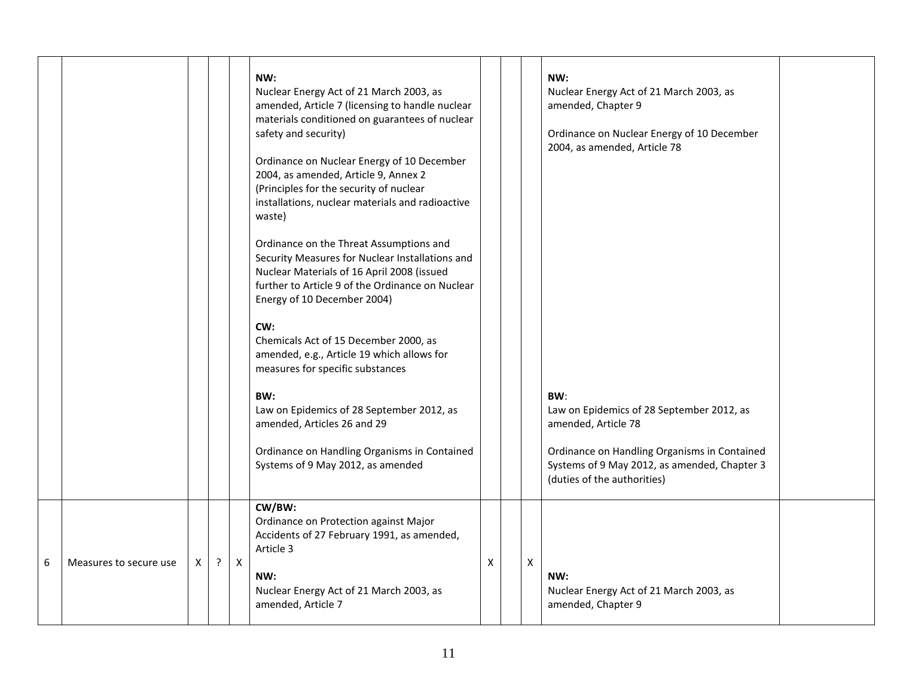|   |                        |   |   |              | NW:<br>Nuclear Energy Act of 21 March 2003, as<br>amended, Article 7 (licensing to handle nuclear<br>materials conditioned on guarantees of nuclear<br>safety and security)<br>Ordinance on Nuclear Energy of 10 December<br>2004, as amended, Article 9, Annex 2<br>(Principles for the security of nuclear<br>installations, nuclear materials and radioactive<br>waste)<br>Ordinance on the Threat Assumptions and<br>Security Measures for Nuclear Installations and<br>Nuclear Materials of 16 April 2008 (issued<br>further to Article 9 of the Ordinance on Nuclear<br>Energy of 10 December 2004)<br>CW:<br>Chemicals Act of 15 December 2000, as<br>amended, e.g., Article 19 which allows for<br>measures for specific substances<br>BW:<br>Law on Epidemics of 28 September 2012, as<br>amended, Articles 26 and 29<br>Ordinance on Handling Organisms in Contained<br>Systems of 9 May 2012, as amended |   |                | NW:<br>Nuclear Energy Act of 21 March 2003, as<br>amended, Chapter 9<br>Ordinance on Nuclear Energy of 10 December<br>2004, as amended, Article 78<br>BW:<br>Law on Epidemics of 28 September 2012, as<br>amended, Article 78<br>Ordinance on Handling Organisms in Contained<br>Systems of 9 May 2012, as amended, Chapter 3<br>(duties of the authorities) |  |
|---|------------------------|---|---|--------------|---------------------------------------------------------------------------------------------------------------------------------------------------------------------------------------------------------------------------------------------------------------------------------------------------------------------------------------------------------------------------------------------------------------------------------------------------------------------------------------------------------------------------------------------------------------------------------------------------------------------------------------------------------------------------------------------------------------------------------------------------------------------------------------------------------------------------------------------------------------------------------------------------------------------|---|----------------|--------------------------------------------------------------------------------------------------------------------------------------------------------------------------------------------------------------------------------------------------------------------------------------------------------------------------------------------------------------|--|
| 6 | Measures to secure use | X | ? | $\mathsf{X}$ | CW/BW:<br>Ordinance on Protection against Major<br>Accidents of 27 February 1991, as amended,<br>Article 3<br>NW:<br>Nuclear Energy Act of 21 March 2003, as<br>amended, Article 7                                                                                                                                                                                                                                                                                                                                                                                                                                                                                                                                                                                                                                                                                                                                  | X | $\pmb{\times}$ | NW:<br>Nuclear Energy Act of 21 March 2003, as<br>amended, Chapter 9                                                                                                                                                                                                                                                                                         |  |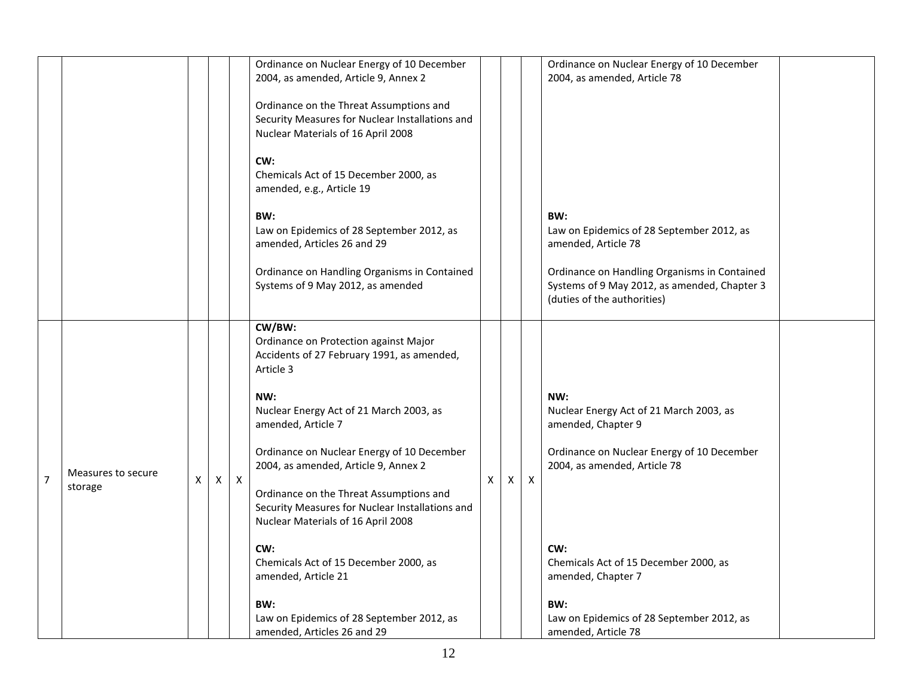|                |                    |   |   |              | Ordinance on Nuclear Energy of 10 December<br>2004, as amended, Article 9, Annex 2                                               |   |   |   | Ordinance on Nuclear Energy of 10 December<br>2004, as amended, Article 78                                                  |  |
|----------------|--------------------|---|---|--------------|----------------------------------------------------------------------------------------------------------------------------------|---|---|---|-----------------------------------------------------------------------------------------------------------------------------|--|
|                |                    |   |   |              |                                                                                                                                  |   |   |   |                                                                                                                             |  |
|                |                    |   |   |              | Ordinance on the Threat Assumptions and<br>Security Measures for Nuclear Installations and                                       |   |   |   |                                                                                                                             |  |
|                |                    |   |   |              | Nuclear Materials of 16 April 2008                                                                                               |   |   |   |                                                                                                                             |  |
|                |                    |   |   |              | CW:<br>Chemicals Act of 15 December 2000, as<br>amended, e.g., Article 19                                                        |   |   |   |                                                                                                                             |  |
|                |                    |   |   |              | BW:                                                                                                                              |   |   |   | BW:                                                                                                                         |  |
|                |                    |   |   |              | Law on Epidemics of 28 September 2012, as<br>amended, Articles 26 and 29                                                         |   |   |   | Law on Epidemics of 28 September 2012, as<br>amended, Article 78                                                            |  |
|                |                    |   |   |              | Ordinance on Handling Organisms in Contained<br>Systems of 9 May 2012, as amended                                                |   |   |   | Ordinance on Handling Organisms in Contained<br>Systems of 9 May 2012, as amended, Chapter 3<br>(duties of the authorities) |  |
|                |                    |   |   |              | CW/BW:<br>Ordinance on Protection against Major<br>Accidents of 27 February 1991, as amended,<br>Article 3                       |   |   |   |                                                                                                                             |  |
|                |                    |   |   |              | NW:<br>Nuclear Energy Act of 21 March 2003, as<br>amended, Article 7                                                             |   |   |   | NW:<br>Nuclear Energy Act of 21 March 2003, as<br>amended, Chapter 9                                                        |  |
|                | Measures to secure |   |   |              | Ordinance on Nuclear Energy of 10 December<br>2004, as amended, Article 9, Annex 2                                               |   |   |   | Ordinance on Nuclear Energy of 10 December<br>2004, as amended, Article 78                                                  |  |
| $\overline{7}$ | storage            | X | X | $\mathsf{X}$ | Ordinance on the Threat Assumptions and<br>Security Measures for Nuclear Installations and<br>Nuclear Materials of 16 April 2008 | X | X | X |                                                                                                                             |  |
|                |                    |   |   |              | CW:                                                                                                                              |   |   |   | CW:                                                                                                                         |  |
|                |                    |   |   |              | Chemicals Act of 15 December 2000, as<br>amended, Article 21                                                                     |   |   |   | Chemicals Act of 15 December 2000, as<br>amended, Chapter 7                                                                 |  |
|                |                    |   |   |              |                                                                                                                                  |   |   |   |                                                                                                                             |  |
|                |                    |   |   |              | BW:<br>Law on Epidemics of 28 September 2012, as                                                                                 |   |   |   | BW:<br>Law on Epidemics of 28 September 2012, as                                                                            |  |
|                |                    |   |   |              | amended, Articles 26 and 29                                                                                                      |   |   |   | amended, Article 78                                                                                                         |  |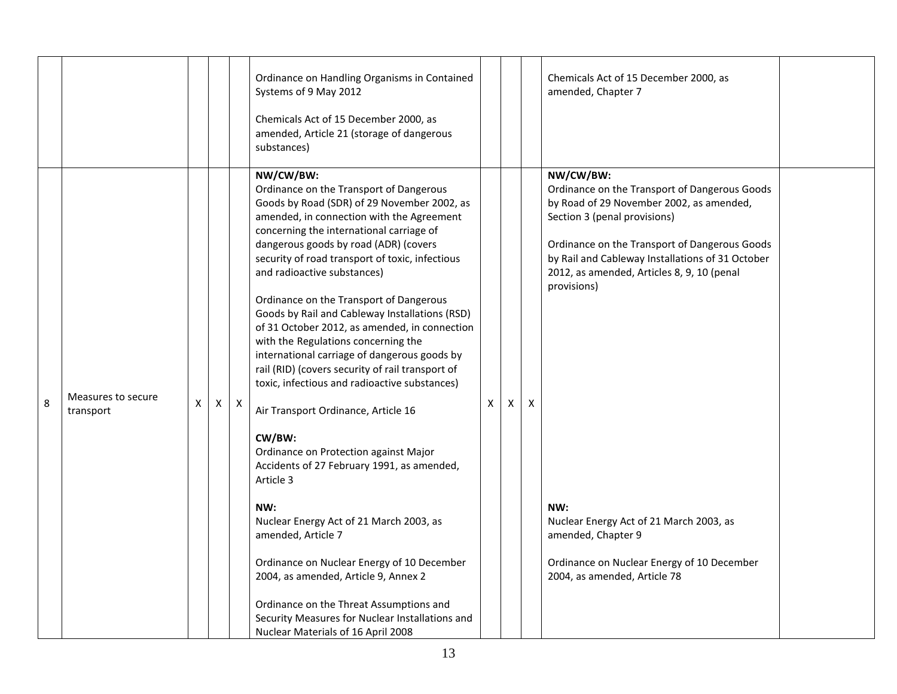|   |                                 |   |   |   | Ordinance on Handling Organisms in Contained<br>Systems of 9 May 2012<br>Chemicals Act of 15 December 2000, as<br>amended, Article 21 (storage of dangerous<br>substances)                                                                                                                                                                                                                                                                                                                                                                                                                                                                                                                                                                                                                                             |   |   |   | Chemicals Act of 15 December 2000, as<br>amended, Chapter 7                                                                                                                                                                                                                                              |  |
|---|---------------------------------|---|---|---|------------------------------------------------------------------------------------------------------------------------------------------------------------------------------------------------------------------------------------------------------------------------------------------------------------------------------------------------------------------------------------------------------------------------------------------------------------------------------------------------------------------------------------------------------------------------------------------------------------------------------------------------------------------------------------------------------------------------------------------------------------------------------------------------------------------------|---|---|---|----------------------------------------------------------------------------------------------------------------------------------------------------------------------------------------------------------------------------------------------------------------------------------------------------------|--|
| 8 | Measures to secure<br>transport | X | X | X | NW/CW/BW:<br>Ordinance on the Transport of Dangerous<br>Goods by Road (SDR) of 29 November 2002, as<br>amended, in connection with the Agreement<br>concerning the international carriage of<br>dangerous goods by road (ADR) (covers<br>security of road transport of toxic, infectious<br>and radioactive substances)<br>Ordinance on the Transport of Dangerous<br>Goods by Rail and Cableway Installations (RSD)<br>of 31 October 2012, as amended, in connection<br>with the Regulations concerning the<br>international carriage of dangerous goods by<br>rail (RID) (covers security of rail transport of<br>toxic, infectious and radioactive substances)<br>Air Transport Ordinance, Article 16<br>CW/BW:<br>Ordinance on Protection against Major<br>Accidents of 27 February 1991, as amended,<br>Article 3 | X | X | X | NW/CW/BW:<br>Ordinance on the Transport of Dangerous Goods<br>by Road of 29 November 2002, as amended,<br>Section 3 (penal provisions)<br>Ordinance on the Transport of Dangerous Goods<br>by Rail and Cableway Installations of 31 October<br>2012, as amended, Articles 8, 9, 10 (penal<br>provisions) |  |
|   |                                 |   |   |   | NW:<br>Nuclear Energy Act of 21 March 2003, as<br>amended, Article 7<br>Ordinance on Nuclear Energy of 10 December<br>2004, as amended, Article 9, Annex 2<br>Ordinance on the Threat Assumptions and                                                                                                                                                                                                                                                                                                                                                                                                                                                                                                                                                                                                                  |   |   |   | NW:<br>Nuclear Energy Act of 21 March 2003, as<br>amended, Chapter 9<br>Ordinance on Nuclear Energy of 10 December<br>2004, as amended, Article 78                                                                                                                                                       |  |
|   |                                 |   |   |   | Security Measures for Nuclear Installations and<br>Nuclear Materials of 16 April 2008                                                                                                                                                                                                                                                                                                                                                                                                                                                                                                                                                                                                                                                                                                                                  |   |   |   |                                                                                                                                                                                                                                                                                                          |  |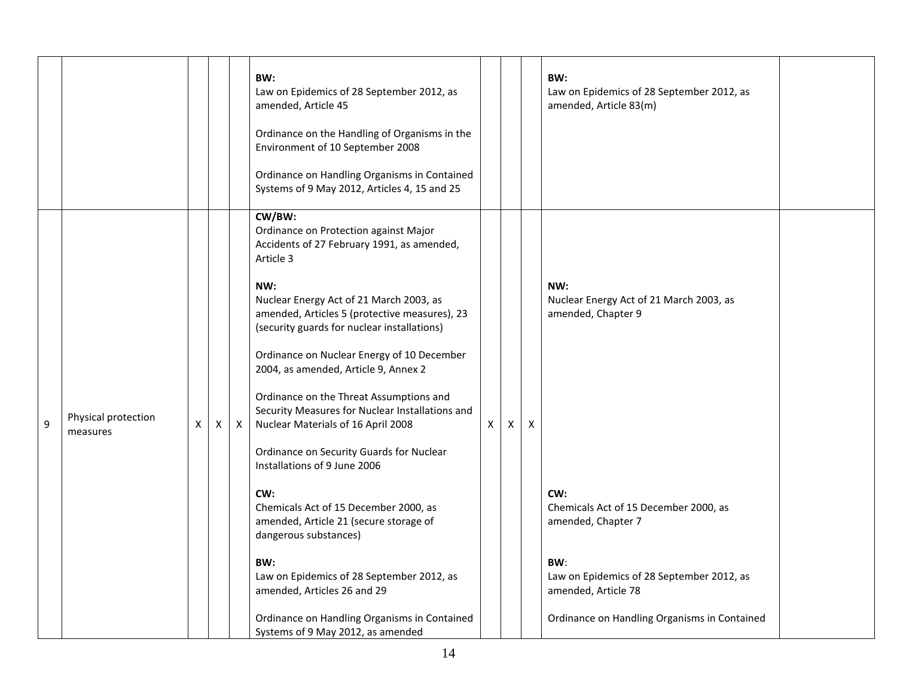|   |                                 |   |              |   | BW:<br>Law on Epidemics of 28 September 2012, as<br>amended, Article 45<br>Ordinance on the Handling of Organisms in the<br>Environment of 10 September 2008<br>Ordinance on Handling Organisms in Contained<br>Systems of 9 May 2012, Articles 4, 15 and 25                                                                                                                                                                                                                                                                                                       |              |   |   | BW:<br>Law on Epidemics of 28 September 2012, as<br>amended, Article 83(m) |  |
|---|---------------------------------|---|--------------|---|--------------------------------------------------------------------------------------------------------------------------------------------------------------------------------------------------------------------------------------------------------------------------------------------------------------------------------------------------------------------------------------------------------------------------------------------------------------------------------------------------------------------------------------------------------------------|--------------|---|---|----------------------------------------------------------------------------|--|
| 9 | Physical protection<br>measures | X | $\mathsf{X}$ | X | CW/BW:<br>Ordinance on Protection against Major<br>Accidents of 27 February 1991, as amended,<br>Article 3<br>NW:<br>Nuclear Energy Act of 21 March 2003, as<br>amended, Articles 5 (protective measures), 23<br>(security guards for nuclear installations)<br>Ordinance on Nuclear Energy of 10 December<br>2004, as amended, Article 9, Annex 2<br>Ordinance on the Threat Assumptions and<br>Security Measures for Nuclear Installations and<br>Nuclear Materials of 16 April 2008<br>Ordinance on Security Guards for Nuclear<br>Installations of 9 June 2006 | $\mathsf{X}$ | X | X | NW:<br>Nuclear Energy Act of 21 March 2003, as<br>amended, Chapter 9       |  |
|   |                                 |   |              |   | CW:<br>Chemicals Act of 15 December 2000, as<br>amended, Article 21 (secure storage of<br>dangerous substances)                                                                                                                                                                                                                                                                                                                                                                                                                                                    |              |   |   | CW:<br>Chemicals Act of 15 December 2000, as<br>amended, Chapter 7         |  |
|   |                                 |   |              |   | BW:<br>Law on Epidemics of 28 September 2012, as<br>amended, Articles 26 and 29                                                                                                                                                                                                                                                                                                                                                                                                                                                                                    |              |   |   | BW:<br>Law on Epidemics of 28 September 2012, as<br>amended, Article 78    |  |
|   |                                 |   |              |   | Ordinance on Handling Organisms in Contained<br>Systems of 9 May 2012, as amended                                                                                                                                                                                                                                                                                                                                                                                                                                                                                  |              |   |   | Ordinance on Handling Organisms in Contained                               |  |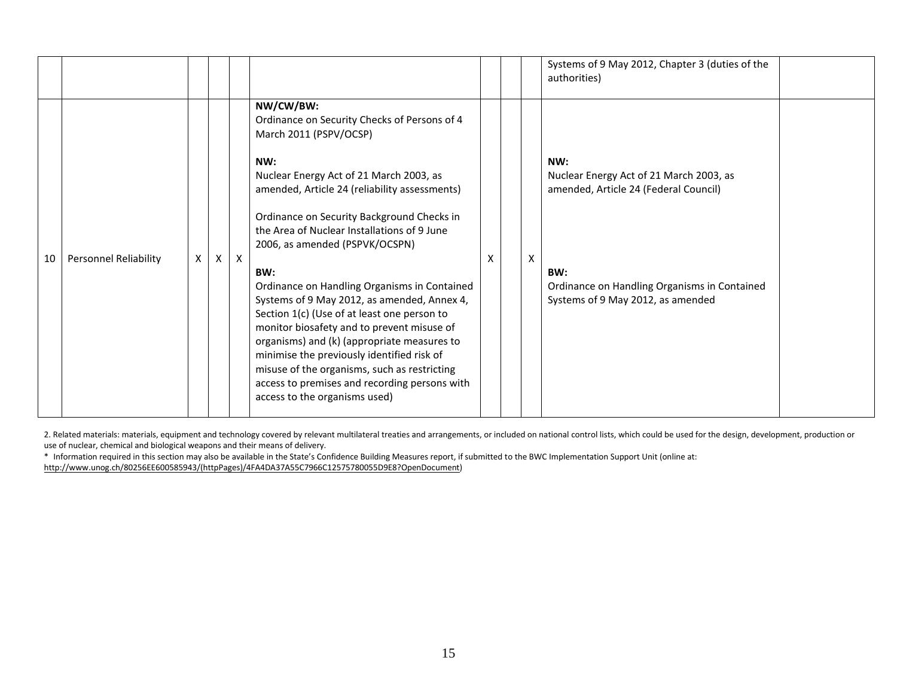|    |                              |   |          |              |                                                                                                                                                                                                                                                                                                                                                                                                                                                                                                                                                                                                                                                                                                                                                         |   |   | Systems of 9 May 2012, Chapter 3 (duties of the<br>authorities)                                                                                                                     |  |
|----|------------------------------|---|----------|--------------|---------------------------------------------------------------------------------------------------------------------------------------------------------------------------------------------------------------------------------------------------------------------------------------------------------------------------------------------------------------------------------------------------------------------------------------------------------------------------------------------------------------------------------------------------------------------------------------------------------------------------------------------------------------------------------------------------------------------------------------------------------|---|---|-------------------------------------------------------------------------------------------------------------------------------------------------------------------------------------|--|
| 10 | <b>Personnel Reliability</b> | X | $\times$ | $\mathsf{X}$ | NW/CW/BW:<br>Ordinance on Security Checks of Persons of 4<br>March 2011 (PSPV/OCSP)<br>NW:<br>Nuclear Energy Act of 21 March 2003, as<br>amended, Article 24 (reliability assessments)<br>Ordinance on Security Background Checks in<br>the Area of Nuclear Installations of 9 June<br>2006, as amended (PSPVK/OCSPN)<br>BW:<br>Ordinance on Handling Organisms in Contained<br>Systems of 9 May 2012, as amended, Annex 4,<br>Section 1(c) (Use of at least one person to<br>monitor biosafety and to prevent misuse of<br>organisms) and (k) (appropriate measures to<br>minimise the previously identified risk of<br>misuse of the organisms, such as restricting<br>access to premises and recording persons with<br>access to the organisms used) | x | X | NW:<br>Nuclear Energy Act of 21 March 2003, as<br>amended, Article 24 (Federal Council)<br>BW:<br>Ordinance on Handling Organisms in Contained<br>Systems of 9 May 2012, as amended |  |

2. Related materials: materials, equipment and technology covered by relevant multilateral treaties and arrangements, or included on national control lists, which could be used for the design, development, production or use of nuclear, chemical and biological weapons and their means of delivery.

\* Information required in this section may also be available in the State's Confidence Building Measures report, if submitted to the BWC Implementation Support Unit (online at: [http://www.unog.ch/80256EE600585943/\(httpPages\)/4FA4DA37A55C7966C12575780055D9E8?OpenDocument\)](http://www.unog.ch/80256EE600585943/(httpPages)/4FA4DA37A55C7966C12575780055D9E8?OpenDocument)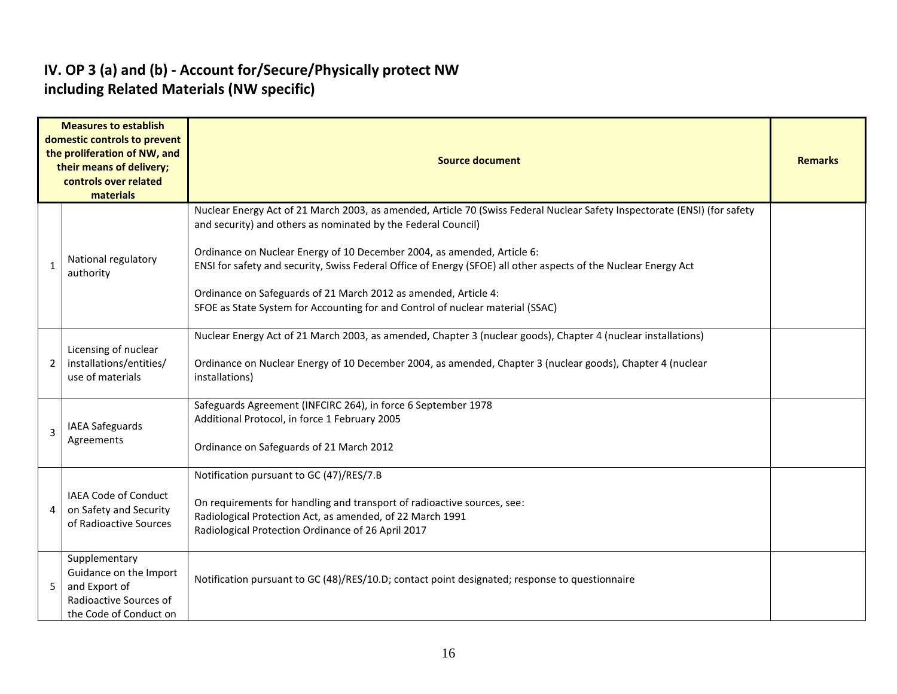#### **IV. OP 3 (a) and (b) - Account for/Secure/Physically protect NW including Related Materials (NW specific)**

|   | <b>Measures to establish</b><br>domestic controls to prevent<br>the proliferation of NW, and<br>their means of delivery;<br>controls over related<br>materials | <b>Source document</b>                                                                                                                                                                                                                                                                                                                                                                                                                                                                                                                        |  |  |  |  |  |  |
|---|----------------------------------------------------------------------------------------------------------------------------------------------------------------|-----------------------------------------------------------------------------------------------------------------------------------------------------------------------------------------------------------------------------------------------------------------------------------------------------------------------------------------------------------------------------------------------------------------------------------------------------------------------------------------------------------------------------------------------|--|--|--|--|--|--|
| 1 | National regulatory<br>authority                                                                                                                               | Nuclear Energy Act of 21 March 2003, as amended, Article 70 (Swiss Federal Nuclear Safety Inspectorate (ENSI) (for safety<br>and security) and others as nominated by the Federal Council)<br>Ordinance on Nuclear Energy of 10 December 2004, as amended, Article 6:<br>ENSI for safety and security, Swiss Federal Office of Energy (SFOE) all other aspects of the Nuclear Energy Act<br>Ordinance on Safeguards of 21 March 2012 as amended, Article 4:<br>SFOE as State System for Accounting for and Control of nuclear material (SSAC) |  |  |  |  |  |  |
| 2 | Licensing of nuclear<br>installations/entities/<br>use of materials                                                                                            | Nuclear Energy Act of 21 March 2003, as amended, Chapter 3 (nuclear goods), Chapter 4 (nuclear installations)<br>Ordinance on Nuclear Energy of 10 December 2004, as amended, Chapter 3 (nuclear goods), Chapter 4 (nuclear<br>installations)                                                                                                                                                                                                                                                                                                 |  |  |  |  |  |  |
| 3 | <b>IAEA Safeguards</b><br>Agreements                                                                                                                           | Safeguards Agreement (INFCIRC 264), in force 6 September 1978<br>Additional Protocol, in force 1 February 2005<br>Ordinance on Safeguards of 21 March 2012                                                                                                                                                                                                                                                                                                                                                                                    |  |  |  |  |  |  |
| 4 | <b>IAEA Code of Conduct</b><br>on Safety and Security<br>of Radioactive Sources                                                                                | Notification pursuant to GC (47)/RES/7.B<br>On requirements for handling and transport of radioactive sources, see:<br>Radiological Protection Act, as amended, of 22 March 1991<br>Radiological Protection Ordinance of 26 April 2017                                                                                                                                                                                                                                                                                                        |  |  |  |  |  |  |
| 5 | Supplementary<br>Guidance on the Import<br>and Export of<br>Radioactive Sources of<br>the Code of Conduct on                                                   | Notification pursuant to GC (48)/RES/10.D; contact point designated; response to questionnaire                                                                                                                                                                                                                                                                                                                                                                                                                                                |  |  |  |  |  |  |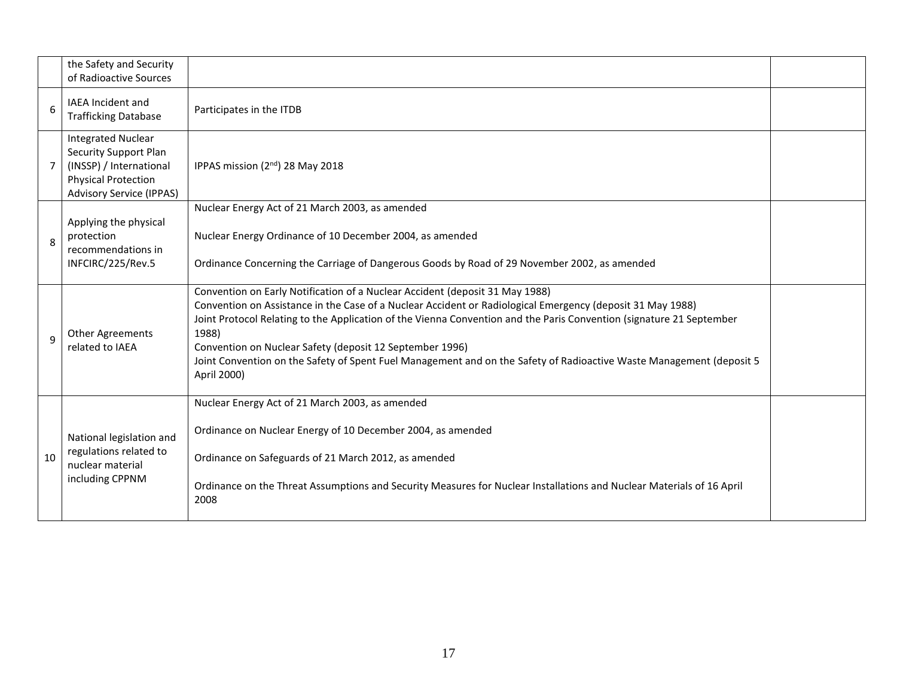|                | the Safety and Security<br>of Radioactive Sources                                                                                                     |                                                                                                                                                                                                                                                                                                                                                                                                                                                                                                                                |  |
|----------------|-------------------------------------------------------------------------------------------------------------------------------------------------------|--------------------------------------------------------------------------------------------------------------------------------------------------------------------------------------------------------------------------------------------------------------------------------------------------------------------------------------------------------------------------------------------------------------------------------------------------------------------------------------------------------------------------------|--|
| 6              | <b>IAEA Incident and</b><br><b>Trafficking Database</b>                                                                                               | Participates in the ITDB                                                                                                                                                                                                                                                                                                                                                                                                                                                                                                       |  |
| $\overline{7}$ | <b>Integrated Nuclear</b><br><b>Security Support Plan</b><br>(INSSP) / International<br><b>Physical Protection</b><br><b>Advisory Service (IPPAS)</b> | IPPAS mission (2 <sup>nd</sup> ) 28 May 2018                                                                                                                                                                                                                                                                                                                                                                                                                                                                                   |  |
| 8              | Applying the physical<br>protection<br>recommendations in<br>INFCIRC/225/Rev.5                                                                        | Nuclear Energy Act of 21 March 2003, as amended<br>Nuclear Energy Ordinance of 10 December 2004, as amended<br>Ordinance Concerning the Carriage of Dangerous Goods by Road of 29 November 2002, as amended                                                                                                                                                                                                                                                                                                                    |  |
| 9              | <b>Other Agreements</b><br>related to IAEA                                                                                                            | Convention on Early Notification of a Nuclear Accident (deposit 31 May 1988)<br>Convention on Assistance in the Case of a Nuclear Accident or Radiological Emergency (deposit 31 May 1988)<br>Joint Protocol Relating to the Application of the Vienna Convention and the Paris Convention (signature 21 September<br>1988)<br>Convention on Nuclear Safety (deposit 12 September 1996)<br>Joint Convention on the Safety of Spent Fuel Management and on the Safety of Radioactive Waste Management (deposit 5<br>April 2000) |  |
| 10             | National legislation and<br>regulations related to<br>nuclear material<br>including CPPNM                                                             | Nuclear Energy Act of 21 March 2003, as amended<br>Ordinance on Nuclear Energy of 10 December 2004, as amended<br>Ordinance on Safeguards of 21 March 2012, as amended<br>Ordinance on the Threat Assumptions and Security Measures for Nuclear Installations and Nuclear Materials of 16 April<br>2008                                                                                                                                                                                                                        |  |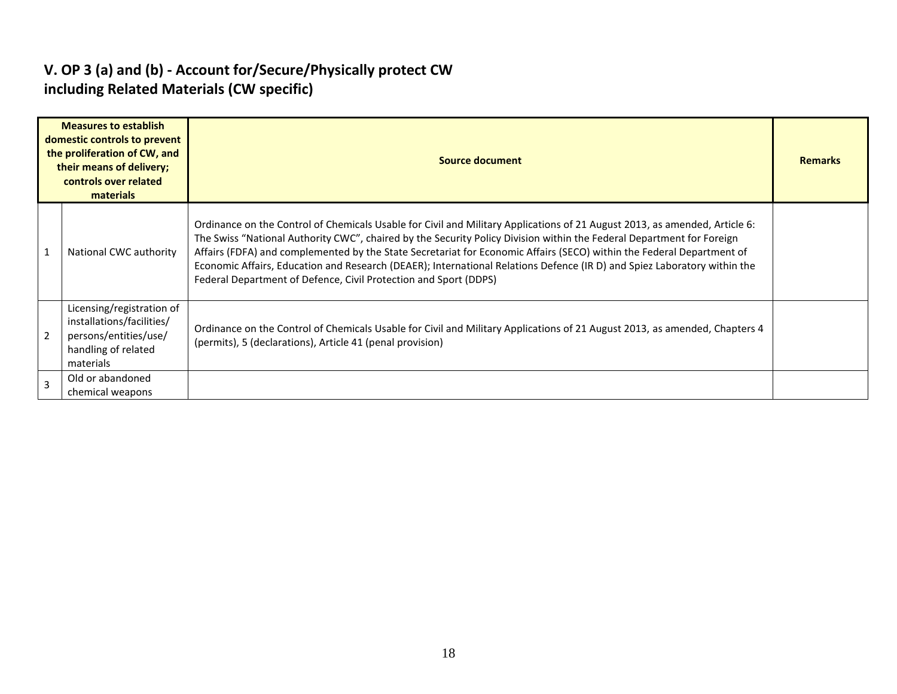## **V. OP 3 (a) and (b) - Account for/Secure/Physically protect CW including Related Materials (CW specific)**

|   | <b>Measures to establish</b><br>domestic controls to prevent<br>the proliferation of CW, and<br>their means of delivery;<br>controls over related<br>materials | Source document                                                                                                                                                                                                                                                                                                                                                                                                                                                                                                                                                              |  |  |  |  |  |  |
|---|----------------------------------------------------------------------------------------------------------------------------------------------------------------|------------------------------------------------------------------------------------------------------------------------------------------------------------------------------------------------------------------------------------------------------------------------------------------------------------------------------------------------------------------------------------------------------------------------------------------------------------------------------------------------------------------------------------------------------------------------------|--|--|--|--|--|--|
| 1 | National CWC authority                                                                                                                                         | Ordinance on the Control of Chemicals Usable for Civil and Military Applications of 21 August 2013, as amended, Article 6:<br>The Swiss "National Authority CWC", chaired by the Security Policy Division within the Federal Department for Foreign<br>Affairs (FDFA) and complemented by the State Secretariat for Economic Affairs (SECO) within the Federal Department of<br>Economic Affairs, Education and Research (DEAER); International Relations Defence (IR D) and Spiez Laboratory within the<br>Federal Department of Defence, Civil Protection and Sport (DDPS) |  |  |  |  |  |  |
|   | Licensing/registration of<br>installations/facilities/<br>persons/entities/use/<br>handling of related<br>materials                                            | Ordinance on the Control of Chemicals Usable for Civil and Military Applications of 21 August 2013, as amended, Chapters 4<br>(permits), 5 (declarations), Article 41 (penal provision)                                                                                                                                                                                                                                                                                                                                                                                      |  |  |  |  |  |  |
|   | Old or abandoned<br>chemical weapons                                                                                                                           |                                                                                                                                                                                                                                                                                                                                                                                                                                                                                                                                                                              |  |  |  |  |  |  |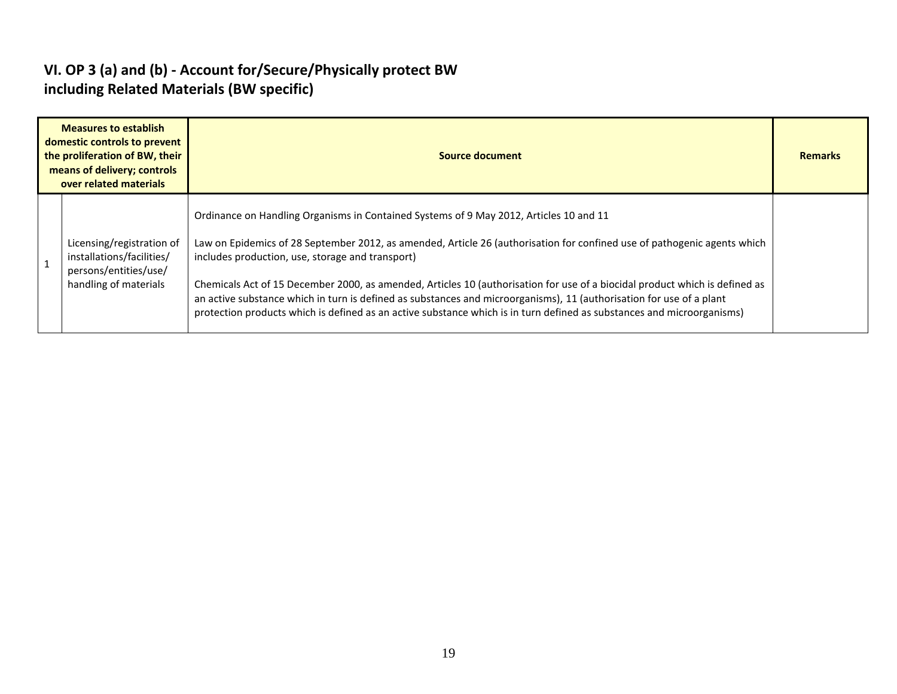#### **VI. OP 3 (a) and (b) - Account for/Secure/Physically protect BW including Related Materials (BW specific)**

| <b>Measures to establish</b><br>domestic controls to prevent<br>the proliferation of BW, their<br>means of delivery; controls<br>over related materials | Source document                                                                                                                                                                                                                                                                                                                                                                                                                                                                                                                                                                                                                                         |  |  |  |  |  |  |  |
|---------------------------------------------------------------------------------------------------------------------------------------------------------|---------------------------------------------------------------------------------------------------------------------------------------------------------------------------------------------------------------------------------------------------------------------------------------------------------------------------------------------------------------------------------------------------------------------------------------------------------------------------------------------------------------------------------------------------------------------------------------------------------------------------------------------------------|--|--|--|--|--|--|--|
| Licensing/registration of<br>installations/facilities/<br>persons/entities/use/<br>handling of materials                                                | Ordinance on Handling Organisms in Contained Systems of 9 May 2012, Articles 10 and 11<br>Law on Epidemics of 28 September 2012, as amended, Article 26 (authorisation for confined use of pathogenic agents which<br>includes production, use, storage and transport)<br>Chemicals Act of 15 December 2000, as amended, Articles 10 (authorisation for use of a biocidal product which is defined as<br>an active substance which in turn is defined as substances and microorganisms), 11 (authorisation for use of a plant<br>protection products which is defined as an active substance which is in turn defined as substances and microorganisms) |  |  |  |  |  |  |  |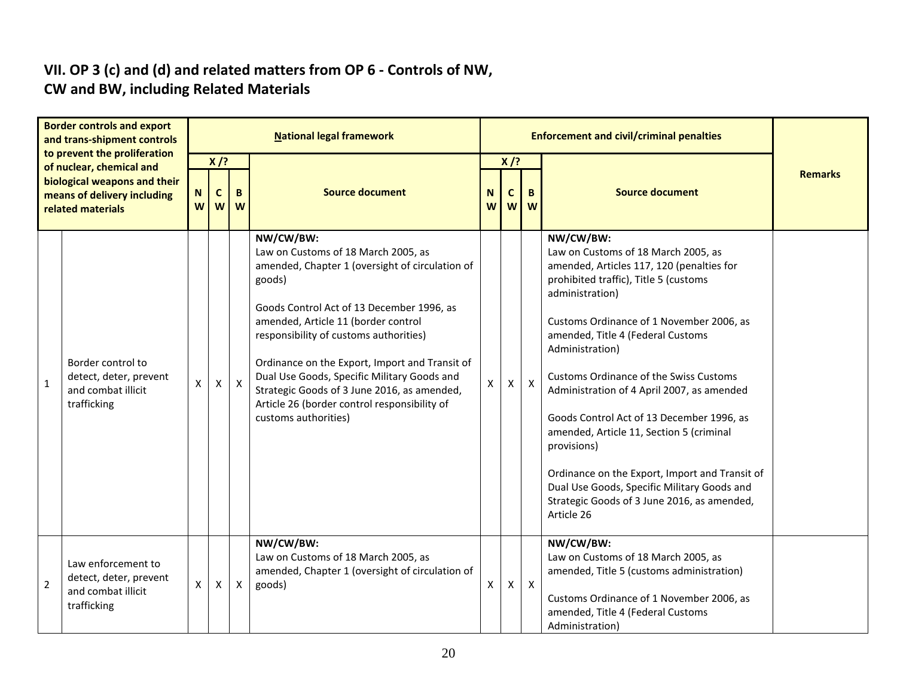#### **VII. OP 3 (c) and (d) and related matters from OP 6 - Controls of NW, CW and BW, including Related Materials**

|                | <b>Border controls and export</b><br>and trans-shipment controls<br>to prevent the proliferation<br>of nuclear, chemical and<br>biological weapons and their<br>means of delivery including<br>related materials |              | <b>National legal framework</b>                                                                                                                                     |              |                                                                                                                                                                                                                                                                                                                                                                                                                                                                     |                |   |              | <b>Enforcement and civil/criminal penalties</b>                                                                                                                                                                                                                                                                                                                                                                                                                                                                                                                                                                                    |  |  |  |  |  |
|----------------|------------------------------------------------------------------------------------------------------------------------------------------------------------------------------------------------------------------|--------------|---------------------------------------------------------------------------------------------------------------------------------------------------------------------|--------------|---------------------------------------------------------------------------------------------------------------------------------------------------------------------------------------------------------------------------------------------------------------------------------------------------------------------------------------------------------------------------------------------------------------------------------------------------------------------|----------------|---|--------------|------------------------------------------------------------------------------------------------------------------------------------------------------------------------------------------------------------------------------------------------------------------------------------------------------------------------------------------------------------------------------------------------------------------------------------------------------------------------------------------------------------------------------------------------------------------------------------------------------------------------------------|--|--|--|--|--|
|                |                                                                                                                                                                                                                  |              | $X$ /?<br>$X$ /?<br><b>Source document</b><br><b>Source document</b><br>B<br>B.<br>$\mathbf N$<br>$\mathbf{C}$<br>N<br>C<br>W<br>W<br>W<br>W<br>W<br>$\overline{w}$ |              |                                                                                                                                                                                                                                                                                                                                                                                                                                                                     | <b>Remarks</b> |   |              |                                                                                                                                                                                                                                                                                                                                                                                                                                                                                                                                                                                                                                    |  |  |  |  |  |
| $\mathbf{1}$   | Border control to<br>detect, deter, prevent<br>and combat illicit<br>trafficking                                                                                                                                 | X            | $\mathsf{X}$                                                                                                                                                        | $\mathsf{X}$ | NW/CW/BW:<br>Law on Customs of 18 March 2005, as<br>amended, Chapter 1 (oversight of circulation of<br>goods)<br>Goods Control Act of 13 December 1996, as<br>amended, Article 11 (border control<br>responsibility of customs authorities)<br>Ordinance on the Export, Import and Transit of<br>Dual Use Goods, Specific Military Goods and<br>Strategic Goods of 3 June 2016, as amended,<br>Article 26 (border control responsibility of<br>customs authorities) | $\mathsf{x}$   | X | $\mathsf{X}$ | NW/CW/BW:<br>Law on Customs of 18 March 2005, as<br>amended, Articles 117, 120 (penalties for<br>prohibited traffic), Title 5 (customs<br>administration)<br>Customs Ordinance of 1 November 2006, as<br>amended, Title 4 (Federal Customs<br>Administration)<br><b>Customs Ordinance of the Swiss Customs</b><br>Administration of 4 April 2007, as amended<br>Goods Control Act of 13 December 1996, as<br>amended, Article 11, Section 5 (criminal<br>provisions)<br>Ordinance on the Export, Import and Transit of<br>Dual Use Goods, Specific Military Goods and<br>Strategic Goods of 3 June 2016, as amended,<br>Article 26 |  |  |  |  |  |
| $\overline{2}$ | Law enforcement to<br>detect, deter, prevent<br>and combat illicit<br>trafficking                                                                                                                                | $\mathsf{X}$ | X                                                                                                                                                                   | X            | NW/CW/BW:<br>Law on Customs of 18 March 2005, as<br>amended, Chapter 1 (oversight of circulation of<br>goods)                                                                                                                                                                                                                                                                                                                                                       | X              | Χ | $\mathsf{X}$ | NW/CW/BW:<br>Law on Customs of 18 March 2005, as<br>amended, Title 5 (customs administration)<br>Customs Ordinance of 1 November 2006, as<br>amended, Title 4 (Federal Customs<br>Administration)                                                                                                                                                                                                                                                                                                                                                                                                                                  |  |  |  |  |  |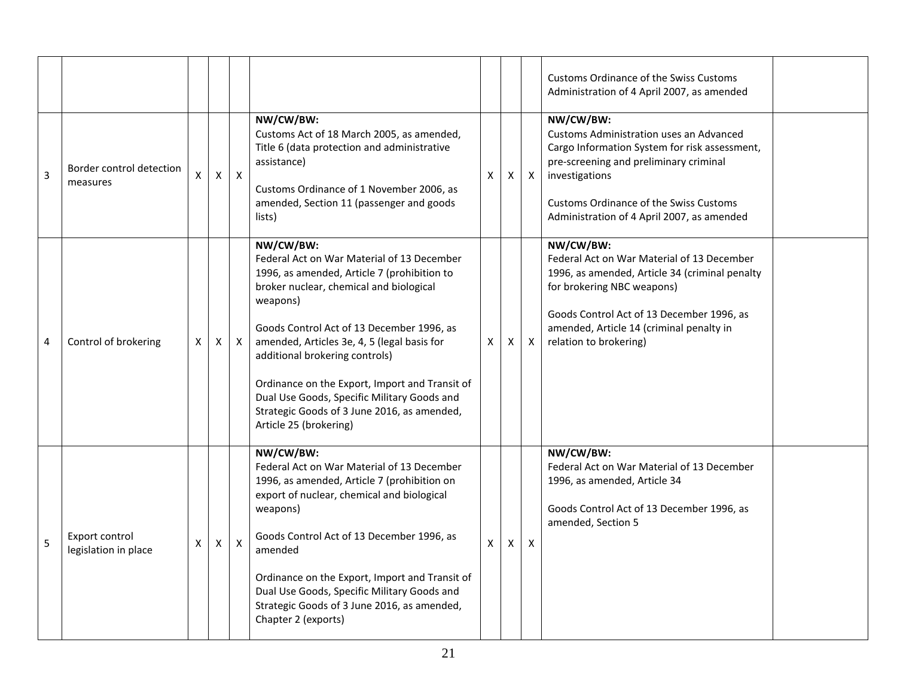|   |                                        |   |                |              |                                                                                                                                                                                                                                                                                                                                                                                                                                                                       |   |   |              | Customs Ordinance of the Swiss Customs<br>Administration of 4 April 2007, as amended                                                                                                                                                                                    |  |
|---|----------------------------------------|---|----------------|--------------|-----------------------------------------------------------------------------------------------------------------------------------------------------------------------------------------------------------------------------------------------------------------------------------------------------------------------------------------------------------------------------------------------------------------------------------------------------------------------|---|---|--------------|-------------------------------------------------------------------------------------------------------------------------------------------------------------------------------------------------------------------------------------------------------------------------|--|
| 3 | Border control detection<br>measures   | X | $\pmb{\times}$ | $\mathsf{X}$ | NW/CW/BW:<br>Customs Act of 18 March 2005, as amended,<br>Title 6 (data protection and administrative<br>assistance)<br>Customs Ordinance of 1 November 2006, as<br>amended, Section 11 (passenger and goods<br>lists)                                                                                                                                                                                                                                                | X | X | $\mathsf{X}$ | NW/CW/BW:<br><b>Customs Administration uses an Advanced</b><br>Cargo Information System for risk assessment,<br>pre-screening and preliminary criminal<br>investigations<br><b>Customs Ordinance of the Swiss Customs</b><br>Administration of 4 April 2007, as amended |  |
| 4 | Control of brokering                   | X | Χ              | $\mathsf{X}$ | NW/CW/BW:<br>Federal Act on War Material of 13 December<br>1996, as amended, Article 7 (prohibition to<br>broker nuclear, chemical and biological<br>weapons)<br>Goods Control Act of 13 December 1996, as<br>amended, Articles 3e, 4, 5 (legal basis for<br>additional brokering controls)<br>Ordinance on the Export, Import and Transit of<br>Dual Use Goods, Specific Military Goods and<br>Strategic Goods of 3 June 2016, as amended,<br>Article 25 (brokering) | X | X | $\mathsf{X}$ | NW/CW/BW:<br>Federal Act on War Material of 13 December<br>1996, as amended, Article 34 (criminal penalty<br>for brokering NBC weapons)<br>Goods Control Act of 13 December 1996, as<br>amended, Article 14 (criminal penalty in<br>relation to brokering)              |  |
| 5 | Export control<br>legislation in place | X | Χ              | $\mathsf{X}$ | NW/CW/BW:<br>Federal Act on War Material of 13 December<br>1996, as amended, Article 7 (prohibition on<br>export of nuclear, chemical and biological<br>weapons)<br>Goods Control Act of 13 December 1996, as<br>amended<br>Ordinance on the Export, Import and Transit of<br>Dual Use Goods, Specific Military Goods and<br>Strategic Goods of 3 June 2016, as amended,<br>Chapter 2 (exports)                                                                       | X | X | $\mathsf{X}$ | NW/CW/BW:<br>Federal Act on War Material of 13 December<br>1996, as amended, Article 34<br>Goods Control Act of 13 December 1996, as<br>amended, Section 5                                                                                                              |  |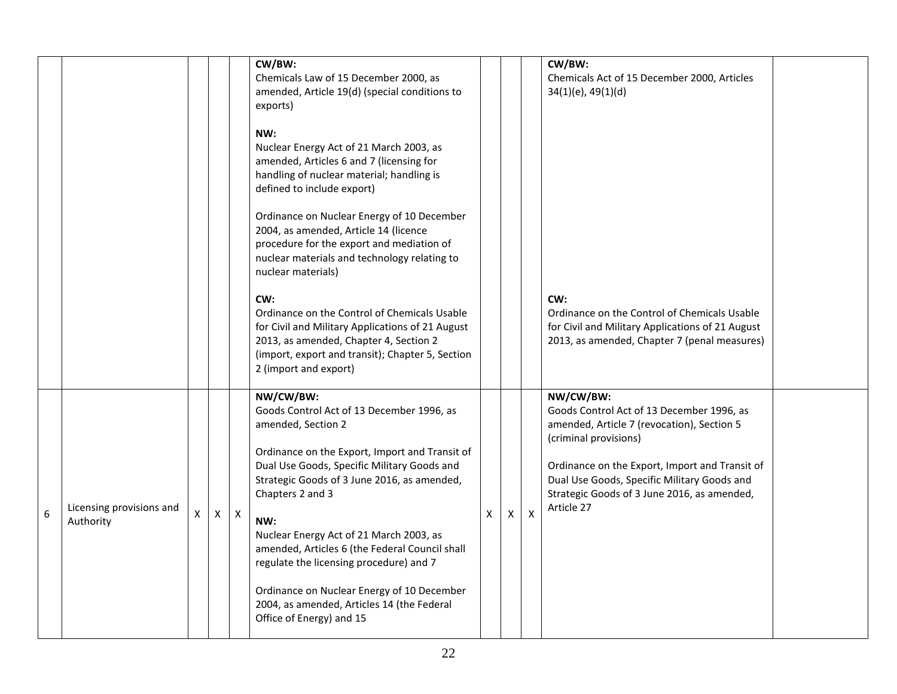|   |                                       |   |    |              | CW/BW:<br>Chemicals Law of 15 December 2000, as<br>amended, Article 19(d) (special conditions to<br>exports)<br>NW:<br>Nuclear Energy Act of 21 March 2003, as<br>amended, Articles 6 and 7 (licensing for<br>handling of nuclear material; handling is<br>defined to include export)<br>Ordinance on Nuclear Energy of 10 December<br>2004, as amended, Article 14 (licence<br>procedure for the export and mediation of<br>nuclear materials and technology relating to<br>nuclear materials)<br>CW:<br>Ordinance on the Control of Chemicals Usable<br>for Civil and Military Applications of 21 August<br>2013, as amended, Chapter 4, Section 2<br>(import, export and transit); Chapter 5, Section<br>2 (import and export) |   |   |              | CW/BW:<br>Chemicals Act of 15 December 2000, Articles<br>$34(1)(e)$ , $49(1)(d)$<br>CW:<br>Ordinance on the Control of Chemicals Usable<br>for Civil and Military Applications of 21 August<br>2013, as amended, Chapter 7 (penal measures)                                                 |  |
|---|---------------------------------------|---|----|--------------|-----------------------------------------------------------------------------------------------------------------------------------------------------------------------------------------------------------------------------------------------------------------------------------------------------------------------------------------------------------------------------------------------------------------------------------------------------------------------------------------------------------------------------------------------------------------------------------------------------------------------------------------------------------------------------------------------------------------------------------|---|---|--------------|---------------------------------------------------------------------------------------------------------------------------------------------------------------------------------------------------------------------------------------------------------------------------------------------|--|
| 6 | Licensing provisions and<br>Authority | X | X. | $\mathsf{X}$ | NW/CW/BW:<br>Goods Control Act of 13 December 1996, as<br>amended, Section 2<br>Ordinance on the Export, Import and Transit of<br>Dual Use Goods, Specific Military Goods and<br>Strategic Goods of 3 June 2016, as amended,<br>Chapters 2 and 3<br>NW:<br>Nuclear Energy Act of 21 March 2003, as<br>amended, Articles 6 (the Federal Council shall<br>regulate the licensing procedure) and 7<br>Ordinance on Nuclear Energy of 10 December<br>2004, as amended, Articles 14 (the Federal<br>Office of Energy) and 15                                                                                                                                                                                                           | X | X | $\mathsf{X}$ | NW/CW/BW:<br>Goods Control Act of 13 December 1996, as<br>amended, Article 7 (revocation), Section 5<br>(criminal provisions)<br>Ordinance on the Export, Import and Transit of<br>Dual Use Goods, Specific Military Goods and<br>Strategic Goods of 3 June 2016, as amended,<br>Article 27 |  |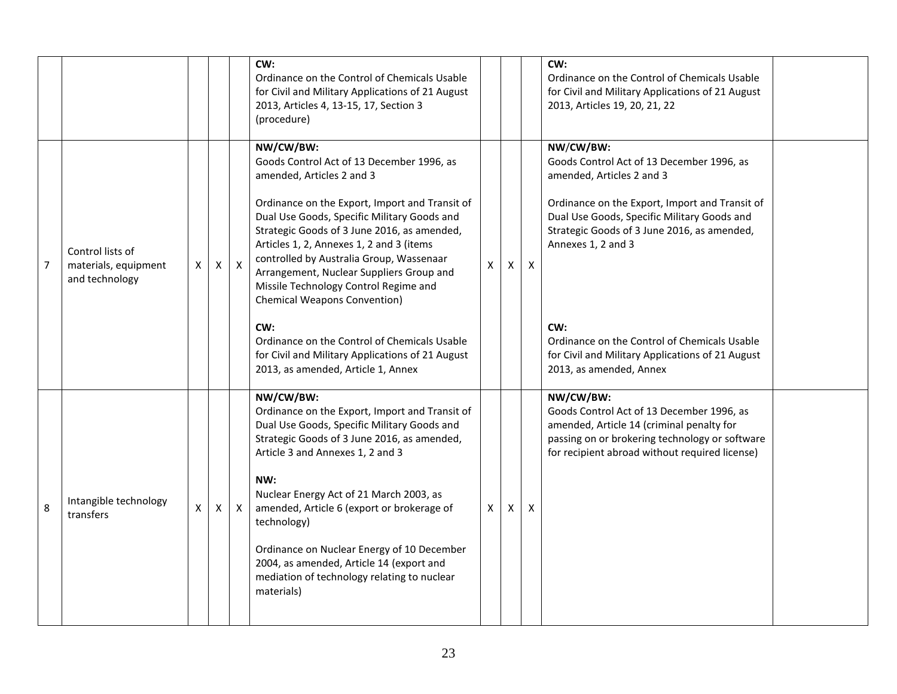|                |                                                            |   |   |                  | CW:<br>Ordinance on the Control of Chemicals Usable<br>for Civil and Military Applications of 21 August<br>2013, Articles 4, 13-15, 17, Section 3<br>(procedure)                                                                                                                                                                                                                                                                                                                                                                                                                                         |    |              |   | CW:<br>Ordinance on the Control of Chemicals Usable<br>for Civil and Military Applications of 21 August<br>2013, Articles 19, 20, 21, 22                                                                                                                                                                                                                                                        |  |
|----------------|------------------------------------------------------------|---|---|------------------|----------------------------------------------------------------------------------------------------------------------------------------------------------------------------------------------------------------------------------------------------------------------------------------------------------------------------------------------------------------------------------------------------------------------------------------------------------------------------------------------------------------------------------------------------------------------------------------------------------|----|--------------|---|-------------------------------------------------------------------------------------------------------------------------------------------------------------------------------------------------------------------------------------------------------------------------------------------------------------------------------------------------------------------------------------------------|--|
| $\overline{7}$ | Control lists of<br>materials, equipment<br>and technology | X | X | $\boldsymbol{X}$ | NW/CW/BW:<br>Goods Control Act of 13 December 1996, as<br>amended, Articles 2 and 3<br>Ordinance on the Export, Import and Transit of<br>Dual Use Goods, Specific Military Goods and<br>Strategic Goods of 3 June 2016, as amended,<br>Articles 1, 2, Annexes 1, 2 and 3 (items<br>controlled by Australia Group, Wassenaar<br>Arrangement, Nuclear Suppliers Group and<br>Missile Technology Control Regime and<br><b>Chemical Weapons Convention)</b><br>CW:<br>Ordinance on the Control of Chemicals Usable<br>for Civil and Military Applications of 21 August<br>2013, as amended, Article 1, Annex | X  | X            | X | NW/CW/BW:<br>Goods Control Act of 13 December 1996, as<br>amended, Articles 2 and 3<br>Ordinance on the Export, Import and Transit of<br>Dual Use Goods, Specific Military Goods and<br>Strategic Goods of 3 June 2016, as amended,<br>Annexes 1, 2 and 3<br>CW:<br>Ordinance on the Control of Chemicals Usable<br>for Civil and Military Applications of 21 August<br>2013, as amended, Annex |  |
| 8              | Intangible technology<br>transfers                         | X | X | $\boldsymbol{X}$ | NW/CW/BW:<br>Ordinance on the Export, Import and Transit of<br>Dual Use Goods, Specific Military Goods and<br>Strategic Goods of 3 June 2016, as amended,<br>Article 3 and Annexes 1, 2 and 3<br>NW:<br>Nuclear Energy Act of 21 March 2003, as<br>amended, Article 6 (export or brokerage of<br>technology)<br>Ordinance on Nuclear Energy of 10 December<br>2004, as amended, Article 14 (export and<br>mediation of technology relating to nuclear<br>materials)                                                                                                                                      | X. | $\mathsf{x}$ | X | NW/CW/BW:<br>Goods Control Act of 13 December 1996, as<br>amended, Article 14 (criminal penalty for<br>passing on or brokering technology or software<br>for recipient abroad without required license)                                                                                                                                                                                         |  |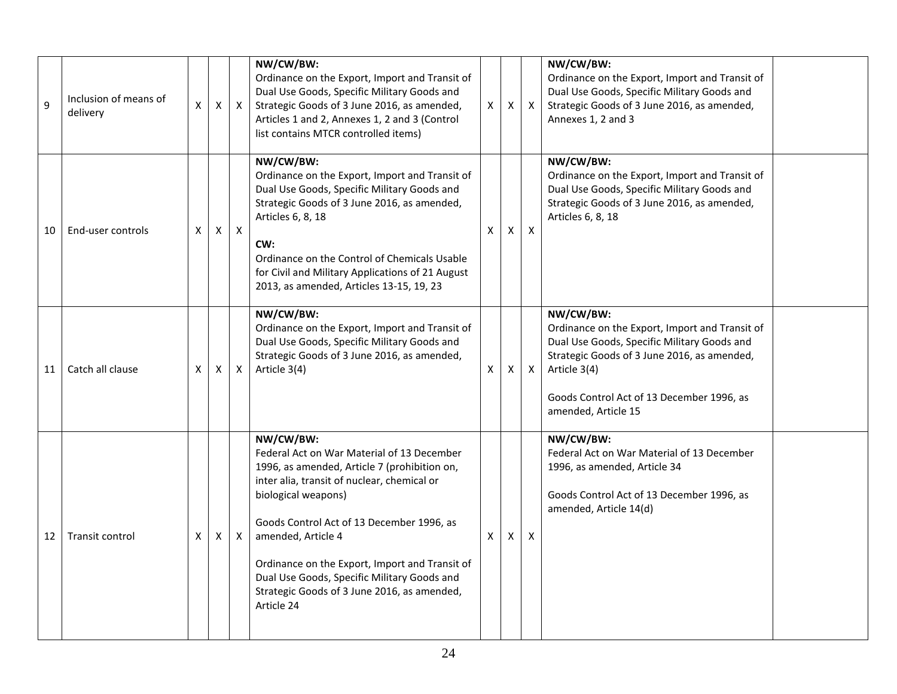|    |                                   |   |   |              | NW/CW/BW:                                                                                                                                                                                                                                                                                                                                                                                                      |   |   |                           | NW/CW/BW:                                                                                                                                                                                                                                     |
|----|-----------------------------------|---|---|--------------|----------------------------------------------------------------------------------------------------------------------------------------------------------------------------------------------------------------------------------------------------------------------------------------------------------------------------------------------------------------------------------------------------------------|---|---|---------------------------|-----------------------------------------------------------------------------------------------------------------------------------------------------------------------------------------------------------------------------------------------|
| 9  | Inclusion of means of<br>delivery | X | Х | $\mathsf{X}$ | Ordinance on the Export, Import and Transit of<br>Dual Use Goods, Specific Military Goods and<br>Strategic Goods of 3 June 2016, as amended,<br>Articles 1 and 2, Annexes 1, 2 and 3 (Control<br>list contains MTCR controlled items)                                                                                                                                                                          | X | X | X                         | Ordinance on the Export, Import and Transit of<br>Dual Use Goods, Specific Military Goods and<br>Strategic Goods of 3 June 2016, as amended,<br>Annexes 1, 2 and 3                                                                            |
| 10 | End-user controls                 | X | Χ | $\mathsf{X}$ | NW/CW/BW:<br>Ordinance on the Export, Import and Transit of<br>Dual Use Goods, Specific Military Goods and<br>Strategic Goods of 3 June 2016, as amended,<br>Articles 6, 8, 18<br>CW:<br>Ordinance on the Control of Chemicals Usable<br>for Civil and Military Applications of 21 August<br>2013, as amended, Articles 13-15, 19, 23                                                                          | X | X | $\mathsf{X}$              | NW/CW/BW:<br>Ordinance on the Export, Import and Transit of<br>Dual Use Goods, Specific Military Goods and<br>Strategic Goods of 3 June 2016, as amended,<br>Articles 6, 8, 18                                                                |
| 11 | Catch all clause                  | X | X | X            | NW/CW/BW:<br>Ordinance on the Export, Import and Transit of<br>Dual Use Goods, Specific Military Goods and<br>Strategic Goods of 3 June 2016, as amended,<br>Article 3(4)                                                                                                                                                                                                                                      | X | Χ | $\mathsf{x}$              | NW/CW/BW:<br>Ordinance on the Export, Import and Transit of<br>Dual Use Goods, Specific Military Goods and<br>Strategic Goods of 3 June 2016, as amended,<br>Article 3(4)<br>Goods Control Act of 13 December 1996, as<br>amended, Article 15 |
| 12 | Transit control                   | X | Χ | X            | NW/CW/BW:<br>Federal Act on War Material of 13 December<br>1996, as amended, Article 7 (prohibition on,<br>inter alia, transit of nuclear, chemical or<br>biological weapons)<br>Goods Control Act of 13 December 1996, as<br>amended, Article 4<br>Ordinance on the Export, Import and Transit of<br>Dual Use Goods, Specific Military Goods and<br>Strategic Goods of 3 June 2016, as amended,<br>Article 24 | X | X | $\boldsymbol{\mathsf{x}}$ | NW/CW/BW:<br>Federal Act on War Material of 13 December<br>1996, as amended, Article 34<br>Goods Control Act of 13 December 1996, as<br>amended, Article 14(d)                                                                                |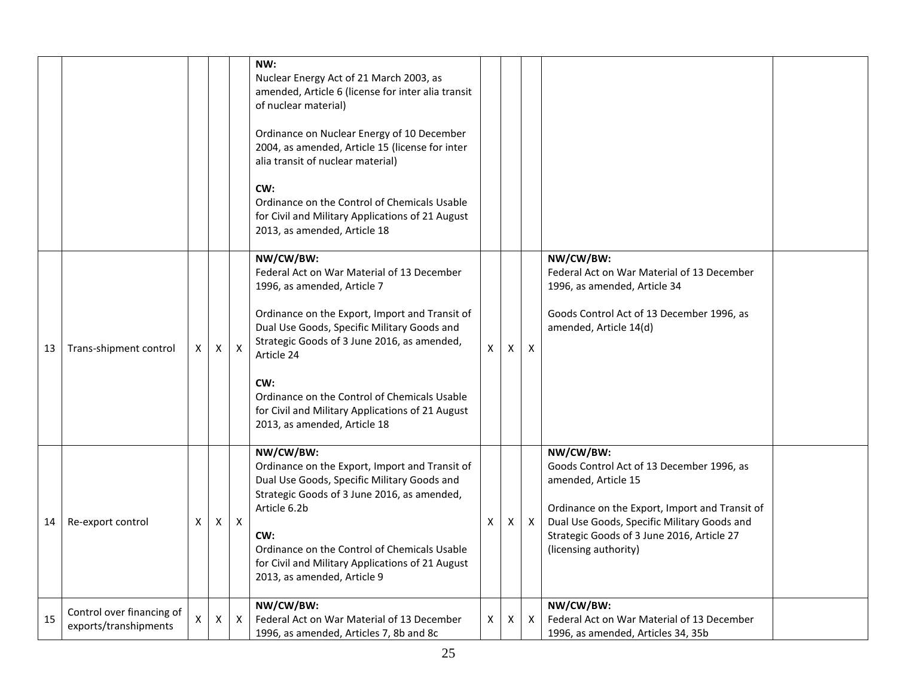|    |                                                    |              |   |                           | NW:<br>Nuclear Energy Act of 21 March 2003, as<br>amended, Article 6 (license for inter alia transit<br>of nuclear material)                                                                                                                                                                                        |    |             |                           |                                                                                                                                                                                                                                                       |  |
|----|----------------------------------------------------|--------------|---|---------------------------|---------------------------------------------------------------------------------------------------------------------------------------------------------------------------------------------------------------------------------------------------------------------------------------------------------------------|----|-------------|---------------------------|-------------------------------------------------------------------------------------------------------------------------------------------------------------------------------------------------------------------------------------------------------|--|
|    |                                                    |              |   |                           | Ordinance on Nuclear Energy of 10 December<br>2004, as amended, Article 15 (license for inter<br>alia transit of nuclear material)                                                                                                                                                                                  |    |             |                           |                                                                                                                                                                                                                                                       |  |
|    |                                                    |              |   |                           | CW:<br>Ordinance on the Control of Chemicals Usable<br>for Civil and Military Applications of 21 August<br>2013, as amended, Article 18                                                                                                                                                                             |    |             |                           |                                                                                                                                                                                                                                                       |  |
|    |                                                    |              |   |                           | NW/CW/BW:<br>Federal Act on War Material of 13 December<br>1996, as amended, Article 7                                                                                                                                                                                                                              |    |             |                           | NW/CW/BW:<br>Federal Act on War Material of 13 December<br>1996, as amended, Article 34                                                                                                                                                               |  |
| 13 | Trans-shipment control                             | $\times$     | X | $\boldsymbol{\mathsf{X}}$ | Ordinance on the Export, Import and Transit of<br>Dual Use Goods, Specific Military Goods and<br>Strategic Goods of 3 June 2016, as amended,<br>Article 24                                                                                                                                                          | X. | $\times$    | $\boldsymbol{\mathsf{X}}$ | Goods Control Act of 13 December 1996, as<br>amended, Article 14(d)                                                                                                                                                                                   |  |
|    |                                                    |              |   |                           | CW:<br>Ordinance on the Control of Chemicals Usable<br>for Civil and Military Applications of 21 August<br>2013, as amended, Article 18                                                                                                                                                                             |    |             |                           |                                                                                                                                                                                                                                                       |  |
| 14 | Re-export control                                  | X            |   | $X \mid X$                | NW/CW/BW:<br>Ordinance on the Export, Import and Transit of<br>Dual Use Goods, Specific Military Goods and<br>Strategic Goods of 3 June 2016, as amended,<br>Article 6.2b<br>CW:<br>Ordinance on the Control of Chemicals Usable<br>for Civil and Military Applications of 21 August<br>2013, as amended, Article 9 | X  | $\mathsf X$ | $\boldsymbol{\mathsf{X}}$ | NW/CW/BW:<br>Goods Control Act of 13 December 1996, as<br>amended, Article 15<br>Ordinance on the Export, Import and Transit of<br>Dual Use Goods, Specific Military Goods and<br>Strategic Goods of 3 June 2016, Article 27<br>(licensing authority) |  |
| 15 | Control over financing of<br>exports/transhipments | $\mathsf{X}$ | X | X                         | NW/CW/BW:<br>Federal Act on War Material of 13 December<br>1996, as amended, Articles 7, 8b and 8c                                                                                                                                                                                                                  | X  | X           | $\mathsf{X}$              | NW/CW/BW:<br>Federal Act on War Material of 13 December<br>1996, as amended, Articles 34, 35b                                                                                                                                                         |  |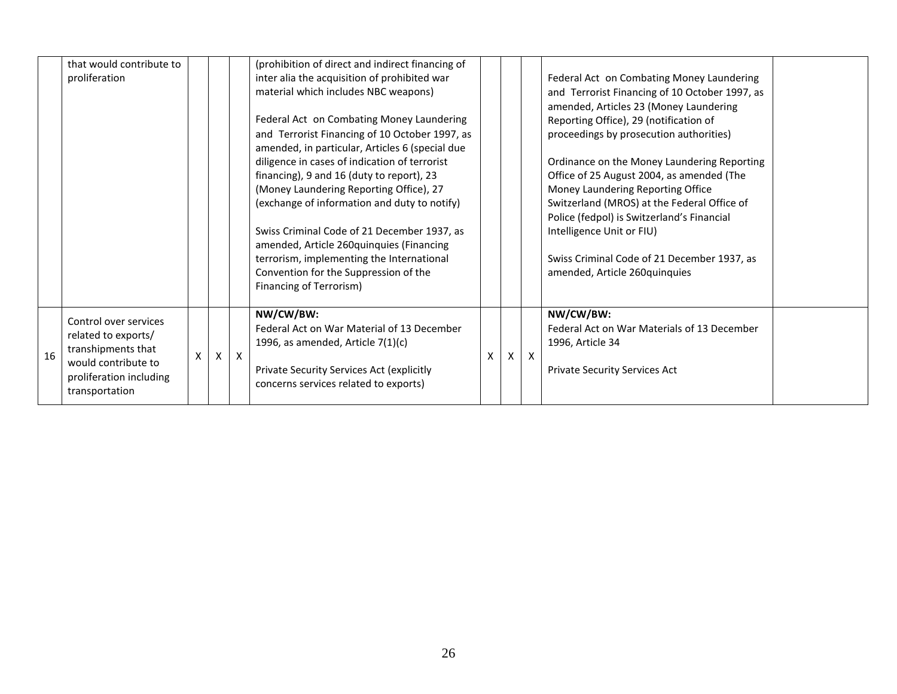|    | that would contribute to<br>proliferation                                                                                              |   |     |              | (prohibition of direct and indirect financing of<br>inter alia the acquisition of prohibited war<br>material which includes NBC weapons)<br>Federal Act on Combating Money Laundering<br>and Terrorist Financing of 10 October 1997, as<br>amended, in particular, Articles 6 (special due<br>diligence in cases of indication of terrorist<br>financing), 9 and 16 (duty to report), 23<br>(Money Laundering Reporting Office), 27<br>(exchange of information and duty to notify)<br>Swiss Criminal Code of 21 December 1937, as<br>amended, Article 260quinquies (Financing<br>terrorism, implementing the International<br>Convention for the Suppression of the<br>Financing of Terrorism) |   |   |              | Federal Act on Combating Money Laundering<br>and Terrorist Financing of 10 October 1997, as<br>amended, Articles 23 (Money Laundering<br>Reporting Office), 29 (notification of<br>proceedings by prosecution authorities)<br>Ordinance on the Money Laundering Reporting<br>Office of 25 August 2004, as amended (The<br>Money Laundering Reporting Office<br>Switzerland (MROS) at the Federal Office of<br>Police (fedpol) is Switzerland's Financial<br>Intelligence Unit or FIU)<br>Swiss Criminal Code of 21 December 1937, as<br>amended, Article 260quinquies |  |
|----|----------------------------------------------------------------------------------------------------------------------------------------|---|-----|--------------|-------------------------------------------------------------------------------------------------------------------------------------------------------------------------------------------------------------------------------------------------------------------------------------------------------------------------------------------------------------------------------------------------------------------------------------------------------------------------------------------------------------------------------------------------------------------------------------------------------------------------------------------------------------------------------------------------|---|---|--------------|-----------------------------------------------------------------------------------------------------------------------------------------------------------------------------------------------------------------------------------------------------------------------------------------------------------------------------------------------------------------------------------------------------------------------------------------------------------------------------------------------------------------------------------------------------------------------|--|
| 16 | Control over services<br>related to exports/<br>transhipments that<br>would contribute to<br>proliferation including<br>transportation | X | X I | $\mathsf{X}$ | NW/CW/BW:<br>Federal Act on War Material of 13 December<br>1996, as amended, Article $7(1)(c)$<br>Private Security Services Act (explicitly<br>concerns services related to exports)                                                                                                                                                                                                                                                                                                                                                                                                                                                                                                            | X | X | $\mathsf{X}$ | NW/CW/BW:<br>Federal Act on War Materials of 13 December<br>1996, Article 34<br><b>Private Security Services Act</b>                                                                                                                                                                                                                                                                                                                                                                                                                                                  |  |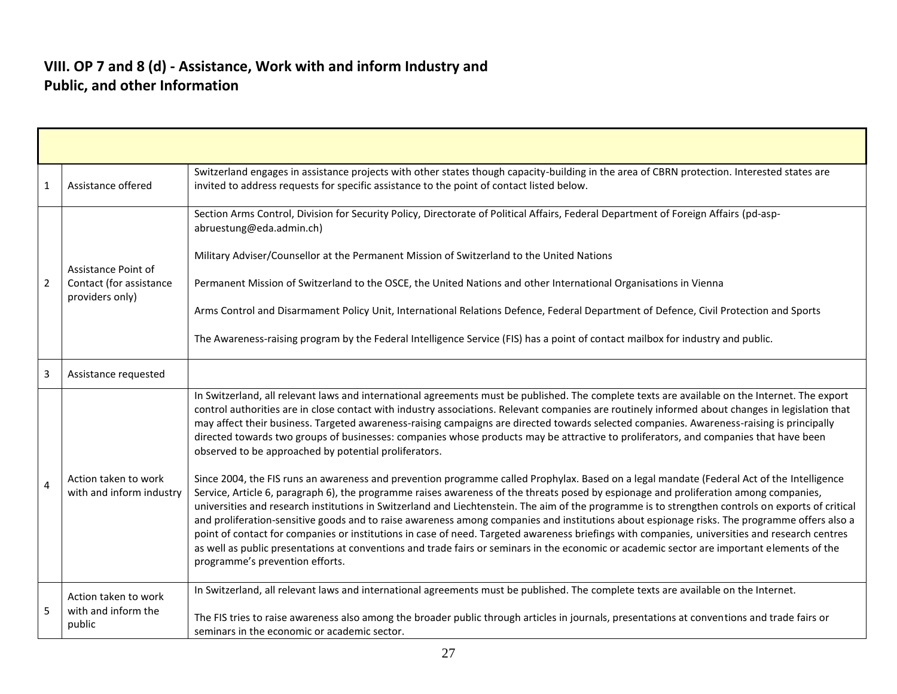#### **VIII. OP 7 and 8 (d) - Assistance, Work with and inform Industry and Public, and other Information**

| 1              | Assistance offered                                                | Switzerland engages in assistance projects with other states though capacity-building in the area of CBRN protection. Interested states are<br>invited to address requests for specific assistance to the point of contact listed below.                                                                                                                                                                                                                                                                                                                                                                                                                                                                                                                                                                                                                                                                                                                                                                                                                                                                                                                                                                                                                                                                                                                                                                                                                                                                                                                                          |
|----------------|-------------------------------------------------------------------|-----------------------------------------------------------------------------------------------------------------------------------------------------------------------------------------------------------------------------------------------------------------------------------------------------------------------------------------------------------------------------------------------------------------------------------------------------------------------------------------------------------------------------------------------------------------------------------------------------------------------------------------------------------------------------------------------------------------------------------------------------------------------------------------------------------------------------------------------------------------------------------------------------------------------------------------------------------------------------------------------------------------------------------------------------------------------------------------------------------------------------------------------------------------------------------------------------------------------------------------------------------------------------------------------------------------------------------------------------------------------------------------------------------------------------------------------------------------------------------------------------------------------------------------------------------------------------------|
| $\overline{2}$ | Assistance Point of<br>Contact (for assistance<br>providers only) | Section Arms Control, Division for Security Policy, Directorate of Political Affairs, Federal Department of Foreign Affairs (pd-asp-<br>abruestung@eda.admin.ch)<br>Military Adviser/Counsellor at the Permanent Mission of Switzerland to the United Nations<br>Permanent Mission of Switzerland to the OSCE, the United Nations and other International Organisations in Vienna<br>Arms Control and Disarmament Policy Unit, International Relations Defence, Federal Department of Defence, Civil Protection and Sports<br>The Awareness-raising program by the Federal Intelligence Service (FIS) has a point of contact mailbox for industry and public.                                                                                                                                                                                                                                                                                                                                                                                                                                                                                                                                                                                                                                                                                                                                                                                                                                                                                                                     |
| 3              | Assistance requested                                              |                                                                                                                                                                                                                                                                                                                                                                                                                                                                                                                                                                                                                                                                                                                                                                                                                                                                                                                                                                                                                                                                                                                                                                                                                                                                                                                                                                                                                                                                                                                                                                                   |
| 4              | Action taken to work<br>with and inform industry                  | In Switzerland, all relevant laws and international agreements must be published. The complete texts are available on the Internet. The export<br>control authorities are in close contact with industry associations. Relevant companies are routinely informed about changes in legislation that<br>may affect their business. Targeted awareness-raising campaigns are directed towards selected companies. Awareness-raising is principally<br>directed towards two groups of businesses: companies whose products may be attractive to proliferators, and companies that have been<br>observed to be approached by potential proliferators.<br>Since 2004, the FIS runs an awareness and prevention programme called Prophylax. Based on a legal mandate (Federal Act of the Intelligence<br>Service, Article 6, paragraph 6), the programme raises awareness of the threats posed by espionage and proliferation among companies,<br>universities and research institutions in Switzerland and Liechtenstein. The aim of the programme is to strengthen controls on exports of critical<br>and proliferation-sensitive goods and to raise awareness among companies and institutions about espionage risks. The programme offers also a<br>point of contact for companies or institutions in case of need. Targeted awareness briefings with companies, universities and research centres<br>as well as public presentations at conventions and trade fairs or seminars in the economic or academic sector are important elements of the<br>programme's prevention efforts. |
| 5              | Action taken to work<br>with and inform the<br>public             | In Switzerland, all relevant laws and international agreements must be published. The complete texts are available on the Internet.<br>The FIS tries to raise awareness also among the broader public through articles in journals, presentations at conventions and trade fairs or<br>seminars in the economic or academic sector.                                                                                                                                                                                                                                                                                                                                                                                                                                                                                                                                                                                                                                                                                                                                                                                                                                                                                                                                                                                                                                                                                                                                                                                                                                               |